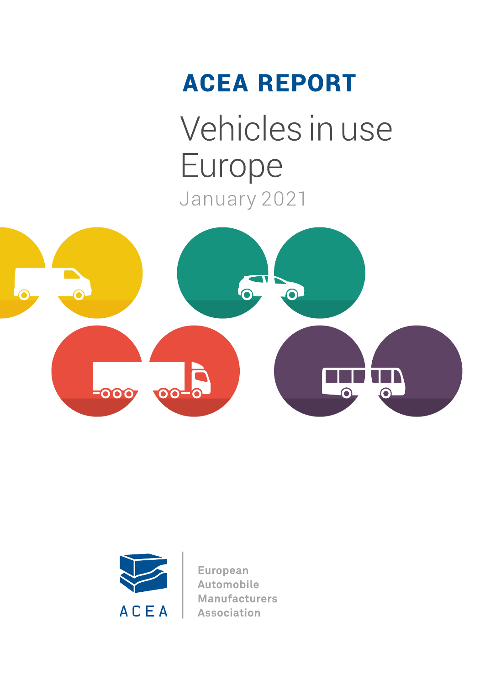# **ACEA REPORT** Vehicles in use Europe

January 2021





**European** Automobile **Manufacturers Association**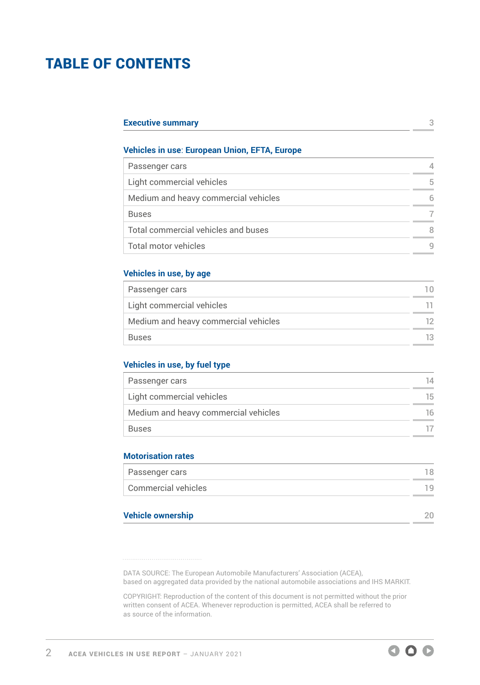# TABLE OF CONTENTS

| <b>Executive summary</b> |  |
|--------------------------|--|
|--------------------------|--|

#### **Vehicles in use**: **European Union, EFTA, Europe**

| Passenger cars                       |   |
|--------------------------------------|---|
| Light commercial vehicles            | 5 |
| Medium and heavy commercial vehicles | 6 |
| <b>Buses</b>                         |   |
| Total commercial vehicles and buses  | 8 |
| Total motor vehicles                 | q |

#### **Vehicles in use, by age**

| Passenger cars                       |     |
|--------------------------------------|-----|
| Light commercial vehicles            |     |
| Medium and heavy commercial vehicles | 12. |
| <b>Buses</b>                         | 13  |

#### **Vehicles in use, by fuel type**

| Passenger cars                       | 14  |
|--------------------------------------|-----|
| Light commercial vehicles            | 15. |
| Medium and heavy commercial vehicles | 16. |
| Buses                                |     |

#### **Motorisation rates**

| Passenger cars      | 18 |
|---------------------|----|
| Commercial vehicles | 19 |
|                     |    |

#### **[Vehicle ownership](#page-19-0)** 20

DATA SOURCE: The European Automobile Manufacturers' Association (ACEA), based on aggregated data provided by the national automobile associations and IHS MARKIT.

COPYRIGHT: Reproduction of the content of this document is not permitted without the prior written consent of ACEA. Whenever reproduction is permitted, ACEA shall be referred to as source of the information.

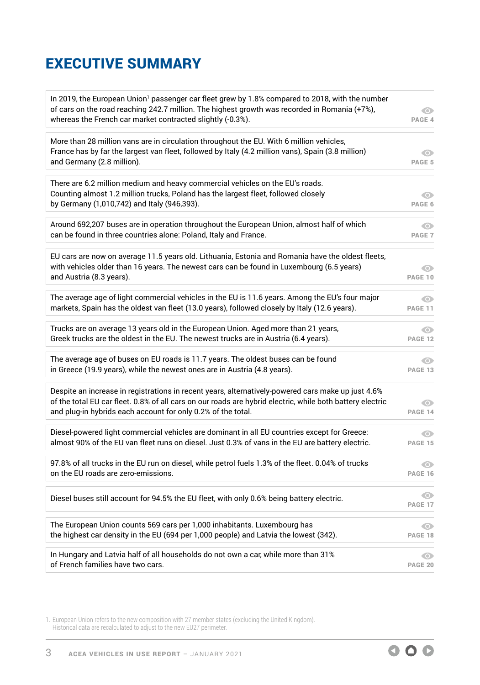# <span id="page-2-0"></span>EXECUTIVE SUMMARY

| In 2019, the European Union <sup>1</sup> passenger car fleet grew by 1.8% compared to 2018, with the number<br>of cars on the road reaching 242.7 million. The highest growth was recorded in Romania (+7%),<br>whereas the French car market contracted slightly (-0.3%).      | $\bullet$<br>PAGE 4         |
|---------------------------------------------------------------------------------------------------------------------------------------------------------------------------------------------------------------------------------------------------------------------------------|-----------------------------|
| More than 28 million vans are in circulation throughout the EU. With 6 million vehicles,<br>France has by far the largest van fleet, followed by Italy (4.2 million vans), Spain (3.8 million)<br>and Germany (2.8 million).                                                    | $\bullet$<br>PAGE 5         |
| There are 6.2 million medium and heavy commercial vehicles on the EU's roads.<br>Counting almost 1.2 million trucks, Poland has the largest fleet, followed closely<br>by Germany (1,010,742) and Italy (946,393).                                                              | $\bullet$<br>PAGE 6         |
| Around 692,207 buses are in operation throughout the European Union, almost half of which                                                                                                                                                                                       | $\odot$                     |
| can be found in three countries alone: Poland, Italy and France.                                                                                                                                                                                                                | PAGE <sub>7</sub>           |
| EU cars are now on average 11.5 years old. Lithuania, Estonia and Romania have the oldest fleets,<br>with vehicles older than 16 years. The newest cars can be found in Luxembourg (6.5 years)<br>and Austria (8.3 years).                                                      | $\bullet$<br><b>PAGE 10</b> |
| The average age of light commercial vehicles in the EU is 11.6 years. Among the EU's four major                                                                                                                                                                                 | $\odot$                     |
| markets, Spain has the oldest van fleet (13.0 years), followed closely by Italy (12.6 years).                                                                                                                                                                                   | <b>PAGE 11</b>              |
| Trucks are on average 13 years old in the European Union. Aged more than 21 years,                                                                                                                                                                                              | $\bullet$                   |
| Greek trucks are the oldest in the EU. The newest trucks are in Austria (6.4 years).                                                                                                                                                                                            | <b>PAGE 12</b>              |
| The average age of buses on EU roads is 11.7 years. The oldest buses can be found                                                                                                                                                                                               | O                           |
| in Greece (19.9 years), while the newest ones are in Austria (4.8 years).                                                                                                                                                                                                       | PAGE 13                     |
| Despite an increase in registrations in recent years, alternatively-powered cars make up just 4.6%<br>of the total EU car fleet. 0.8% of all cars on our roads are hybrid electric, while both battery electric<br>and plug-in hybrids each account for only 0.2% of the total. | $\bullet$<br>PAGE 14        |
| Diesel-powered light commercial vehicles are dominant in all EU countries except for Greece:                                                                                                                                                                                    | $\odot$                     |
| almost 90% of the EU van fleet runs on diesel. Just 0.3% of vans in the EU are battery electric.                                                                                                                                                                                | <b>PAGE 15</b>              |
| 97.8% of all trucks in the EU run on diesel, while petrol fuels 1.3% of the fleet. 0.04% of trucks                                                                                                                                                                              | $\bullet$                   |
| on the EU roads are zero-emissions.                                                                                                                                                                                                                                             | PAGE 16                     |
| Diesel buses still account for 94.5% the EU fleet, with only 0.6% being battery electric.                                                                                                                                                                                       | $\bullet$<br>PAGE 17        |
| The European Union counts 569 cars per 1,000 inhabitants. Luxembourg has                                                                                                                                                                                                        | O                           |
| the highest car density in the EU (694 per 1,000 people) and Latvia the lowest (342).                                                                                                                                                                                           | PAGE 18                     |
| In Hungary and Latvia half of all households do not own a car, while more than 31%                                                                                                                                                                                              | O                           |
| of French families have two cars.                                                                                                                                                                                                                                               | <b>PAGE 20</b>              |

1. European Union refers to the new composition with 27 member states (excluding the United Kingdom). Historical data are recalculated to adjust to the new EU27 perimeter.

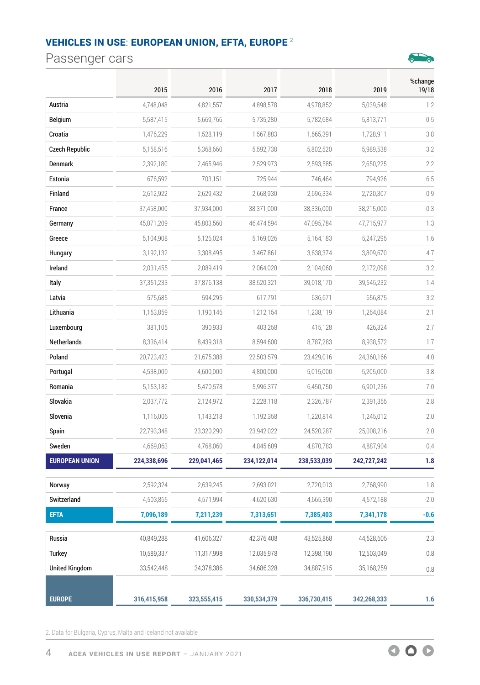# <span id="page-3-0"></span>Passenger cars



|                       | 2015        | 2016        | 2017        | 2018        | 2019        | %change<br>19/18 |
|-----------------------|-------------|-------------|-------------|-------------|-------------|------------------|
| Austria               | 4,748,048   | 4,821,557   | 4,898,578   | 4,978,852   | 5,039,548   | 1.2              |
| <b>Belgium</b>        | 5,587,415   | 5,669,766   | 5,735,280   | 5,782,684   | 5,813,771   | 0.5              |
| Croatia               | 1,476,229   | 1,528,119   | 1,567,883   | 1,665,391   | 1,728,911   | 3.8              |
| <b>Czech Republic</b> | 5,158,516   | 5,368,660   | 5,592,738   | 5,802,520   | 5,989,538   | 3.2              |
| <b>Denmark</b>        | 2,392,180   | 2,465,946   | 2,529,973   | 2,593,585   | 2,650,225   | 2.2              |
| Estonia               | 676,592     | 703,151     | 725,944     | 746,464     | 794,926     | 6.5              |
| Finland               | 2,612,922   | 2,629,432   | 2,668,930   | 2,696,334   | 2,720,307   | 0.9              |
| France                | 37,458,000  | 37,934,000  | 38,371,000  | 38,336,000  | 38,215,000  | $-0.3$           |
| Germany               | 45,071,209  | 45,803,560  | 46,474,594  | 47,095,784  | 47,715,977  | 1.3              |
| Greece                | 5,104,908   | 5,126,024   | 5,169,026   | 5,164,183   | 5,247,295   | 1.6              |
| Hungary               | 3,192,132   | 3,308,495   | 3,467,861   | 3,638,374   | 3,809,670   | 4.7              |
| Ireland               | 2,031,455   | 2,089,419   | 2,064,020   | 2,104,060   | 2,172,098   | 3.2              |
| Italy                 | 37,351,233  | 37,876,138  | 38,520,321  | 39,018,170  | 39,545,232  | 1.4              |
| Latvia                | 575,685     | 594,295     | 617,791     | 636,671     | 656,875     | 3.2              |
| Lithuania             | 1,153,859   | 1,190,146   | 1,212,154   | 1,238,119   | 1,264,084   | 2.1              |
| Luxembourg            | 381,105     | 390,933     | 403,258     | 415,128     | 426,324     | 2.7              |
| Netherlands           | 8,336,414   | 8,439,318   | 8,594,600   | 8,787,283   | 8,938,572   | 1.7              |
| Poland                | 20,723,423  | 21,675,388  | 22,503,579  | 23,429,016  | 24,360,166  | 4.0              |
| Portugal              | 4,538,000   | 4,600,000   | 4,800,000   | 5,015,000   | 5,205,000   | 3.8              |
| Romania               | 5,153,182   | 5,470,578   | 5,996,377   | 6,450,750   | 6,901,236   | 7.0              |
| Slovakia              | 2,037,772   | 2,124,972   | 2,228,118   | 2,326,787   | 2,391,355   | 2.8              |
| Slovenia              | 1,116,006   | 1,143,218   | 1,192,358   | 1,220,814   | 1,245,012   | 2.0              |
| Spain                 | 22,793,348  | 23,320,290  | 23,942,022  | 24,520,287  | 25,008,216  | 2.0              |
| Sweden                | 4,669,063   | 4,768,060   | 4,845,609   | 4,870,783   | 4,887,904   | 0.4              |
| <b>EUROPEAN UNION</b> | 224,338,696 | 229,041,465 | 234,122,014 | 238,533,039 | 242,727,242 | 1.8              |
| Norway                | 2,592,324   | 2,639,245   | 2,693,021   | 2,720,013   | 2,768,990   | 1.8              |
| Switzerland           | 4,503,865   | 4,571,994   | 4,620,630   | 4,665,390   | 4,572,188   | $-2.0$           |
| <b>EFTA</b>           | 7,096,189   | 7,211,239   | 7,313,651   | 7,385,403   | 7,341,178   | $-0.6$           |
| Russia                | 40,849,288  | 41,606,327  | 42,376,408  | 43,525,868  | 44,528,605  | 2.3              |
| <b>Turkey</b>         | 10,589,337  | 11,317,998  | 12,035,978  | 12,398,190  | 12,503,049  | 0.8              |
| <b>United Kingdom</b> | 33,542,448  | 34,378,386  | 34,686,328  | 34,887,915  | 35,168,259  | 0.8              |
| <b>EUROPE</b>         | 316,415,958 | 323,555,415 | 330,534,379 | 336,730,415 | 342,268,333 | 1.6              |

2. Data for Bulgaria, Cyprus, Malta and Iceland not available

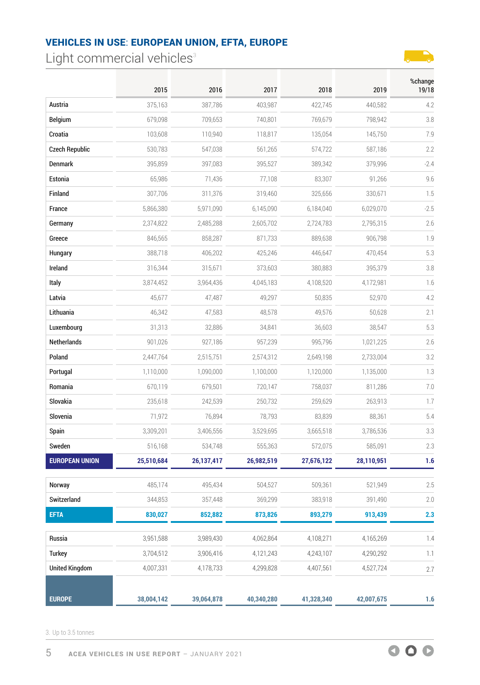<span id="page-4-0"></span>Light commercial vehicles $3$ 



|                       | 2015       | 2016       | 2017       | 2018       | 2019       | %change<br>19/18 |
|-----------------------|------------|------------|------------|------------|------------|------------------|
| Austria               | 375,163    | 387,786    | 403,987    | 422,745    | 440,582    | 4.2              |
| <b>Belgium</b>        | 679,098    | 709,653    | 740,801    | 769,679    | 798,942    | 3.8              |
| Croatia               | 103,608    | 110,940    | 118,817    | 135,054    | 145,750    | 7.9              |
| <b>Czech Republic</b> | 530,783    | 547,038    | 561,265    | 574,722    | 587,186    | 2.2              |
| Denmark               | 395,859    | 397,083    | 395,527    | 389,342    | 379,996    | $-2.4$           |
| Estonia               | 65,986     | 71,436     | 77,108     | 83,307     | 91,266     | 9.6              |
| Finland               | 307,706    | 311,376    | 319,460    | 325,656    | 330,671    | 1.5              |
| France                | 5,866,380  | 5,971,090  | 6,145,090  | 6,184,040  | 6,029,070  | $-2.5$           |
| Germany               | 2,374,822  | 2,485,288  | 2,605,702  | 2,724,783  | 2,795,315  | 2.6              |
| Greece                | 846,565    | 858,287    | 871,733    | 889,638    | 906,798    | 1.9              |
| Hungary               | 388,718    | 406,202    | 425,246    | 446,647    | 470,454    | 5.3              |
| Ireland               | 316,344    | 315,671    | 373,603    | 380,883    | 395,379    | 3.8              |
| Italy                 | 3,874,452  | 3,964,436  | 4,045,183  | 4,108,520  | 4,172,981  | 1.6              |
| Latvia                | 45,677     | 47,487     | 49,297     | 50,835     | 52,970     | 4.2              |
| Lithuania             | 46,342     | 47,583     | 48,578     | 49,576     | 50,628     | 2.1              |
| Luxembourg            | 31,313     | 32,886     | 34,841     | 36,603     | 38,547     | 5.3              |
| Netherlands           | 901,026    | 927,186    | 957,239    | 995,796    | 1,021,225  | 2.6              |
| Poland                | 2,447,764  | 2,515,751  | 2,574,312  | 2,649,198  | 2,733,004  | 3.2              |
| Portugal              | 1,110,000  | 1,090,000  | 1,100,000  | 1,120,000  | 1,135,000  | 1.3              |
| Romania               | 670,119    | 679,501    | 720,147    | 758,037    | 811,286    | 7.0              |
| Slovakia              | 235,618    | 242,539    | 250,732    | 259,629    | 263,913    | 1.7              |
| Slovenia              | 71,972     | 76,894     | 78,793     | 83,839     | 88,361     | 5.4              |
| Spain                 | 3,309,201  | 3,406,556  | 3,529,695  | 3,665,518  | 3,786,536  | 3.3              |
| Sweden                | 516,168    | 534,748    | 555,363    | 572,075    | 585,091    | 2.3              |
| <b>EUROPEAN UNION</b> | 25,510,684 | 26,137,417 | 26,982,519 | 27,676,122 | 28,110,951 | 1.6              |
| Norway                | 485,174    | 495,434    | 504,527    | 509,361    | 521,949    | 2.5              |
| Switzerland           | 344,853    | 357,448    | 369,299    | 383,918    | 391,490    | 2.0              |
| <b>EFTA</b>           | 830,027    | 852,882    | 873,826    | 893,279    | 913,439    | 2.3              |
| Russia                | 3,951,588  | 3,989,430  | 4,062,864  | 4,108,271  | 4,165,269  | 1.4              |
| Turkey                | 3,704,512  | 3,906,416  | 4,121,243  | 4,243,107  | 4,290,292  | 1.1              |
| <b>United Kingdom</b> | 4,007,331  | 4,178,733  | 4,299,828  | 4,407,561  | 4,527,724  | 2.7              |
| <b>EUROPE</b>         | 38,004,142 | 39,064,878 | 40,340,280 | 41,328,340 | 42,007,675 | 1.6              |

3. Up to 3.5 tonnes

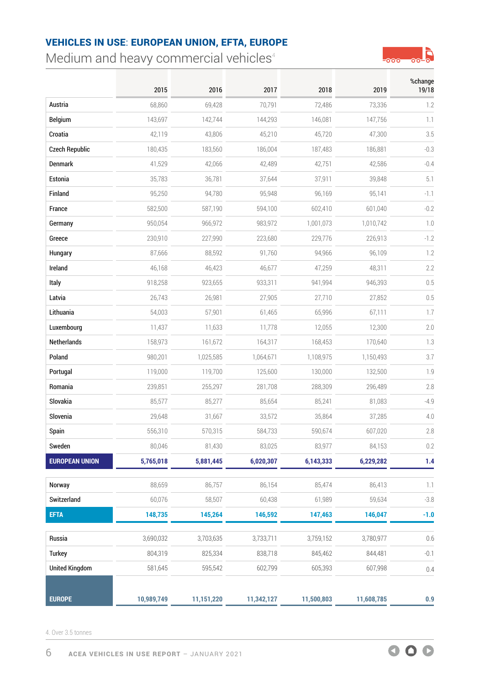<span id="page-5-0"></span>Medium and heavy commercial vehicles $4$ 



|                       | 2015       | 2016       | 2017       | 2018       | 2019       | %change<br>19/18 |
|-----------------------|------------|------------|------------|------------|------------|------------------|
| Austria               | 68,860     | 69,428     | 70,791     | 72,486     | 73,336     | 1.2              |
| <b>Belgium</b>        | 143,697    | 142,744    | 144,293    | 146,081    | 147,756    | 1.1              |
| Croatia               | 42,119     | 43,806     | 45,210     | 45,720     | 47,300     | 3.5              |
| <b>Czech Republic</b> | 180,435    | 183,560    | 186,004    | 187,483    | 186,881    | $-0.3$           |
| Denmark               | 41,529     | 42,066     | 42,489     | 42,751     | 42,586     | $-0.4$           |
| Estonia               | 35,783     | 36.781     | 37,644     | 37,911     | 39.848     | 5.1              |
| Finland               | 95,250     | 94,780     | 95,948     | 96,169     | 95,141     | $-1.1$           |
| France                | 582,500    | 587,190    | 594,100    | 602,410    | 601,040    | $-0.2$           |
| Germany               | 950,054    | 966,972    | 983,972    | 1,001,073  | 1,010,742  | $1.0\,$          |
| Greece                | 230,910    | 227,990    | 223,680    | 229,776    | 226,913    | $-1.2$           |
| Hungary               | 87,666     | 88,592     | 91,760     | 94,966     | 96,109     | 1.2              |
| Ireland               | 46,168     | 46,423     | 46,677     | 47,259     | 48,311     | 2.2              |
| Italy                 | 918,258    | 923,655    | 933,311    | 941,994    | 946,393    | 0.5              |
| Latvia                | 26,743     | 26,981     | 27,905     | 27,710     | 27,852     | 0.5              |
| Lithuania             | 54,003     | 57,901     | 61,465     | 65,996     | 67,111     | 1.7              |
| Luxembourg            | 11,437     | 11,633     | 11,778     | 12,055     | 12,300     | 2.0              |
| Netherlands           | 158,973    | 161,672    | 164,317    | 168,453    | 170,640    | 1.3              |
| Poland                | 980,201    | 1,025,585  | 1,064,671  | 1,108,975  | 1,150,493  | 3.7              |
| Portugal              | 119,000    | 119,700    | 125,600    | 130,000    | 132,500    | 1.9              |
| Romania               | 239,851    | 255,297    | 281,708    | 288,309    | 296,489    | 2.8              |
| Slovakia              | 85,577     | 85,277     | 85,654     | 85,241     | 81,083     | $-4.9$           |
| Slovenia              | 29,648     | 31,667     | 33,572     | 35,864     | 37,285     | $4.0\,$          |
| Spain                 | 556,310    | 570,315    | 584,733    | 590,674    | 607,020    | 2.8              |
| Sweden                | 80,046     | 81,430     | 83,025     | 83,977     | 84,153     | 0.2              |
| <b>EUROPEAN UNION</b> | 5,765,018  | 5,881,445  | 6,020,307  | 6,143,333  | 6,229,282  | 1.4              |
| Norway                | 88,659     | 86,757     | 86,154     | 85,474     | 86,413     | 1.1              |
| Switzerland           | 60,076     | 58,507     | 60,438     | 61,989     | 59,634     | $-3.8$           |
| <b>EFTA</b>           | 148,735    | 145,264    | 146,592    | 147,463    | 146,047    | $-1.0$           |
| Russia                | 3,690,032  | 3,703,635  | 3,733,711  | 3,759,152  | 3,780,977  | 0.6              |
| <b>Turkey</b>         | 804,319    | 825,334    | 838,718    | 845,462    | 844,481    | $-0.1$           |
| <b>United Kingdom</b> | 581,645    | 595,542    | 602,799    | 605,393    | 607,998    | 0.4              |
| <b>EUROPE</b>         | 10,989,749 | 11,151,220 | 11,342,127 | 11,500,803 | 11,608,785 | $0.9\,$          |

4. Over 3.5 tonnes

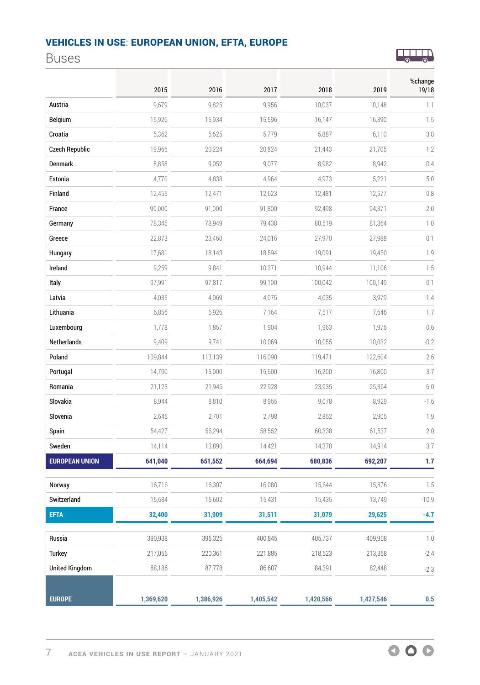## <span id="page-6-0"></span>Buses



|                       | 2015      | 2016      | 2017      | 2018      | 2019      | %change<br>19/18 |
|-----------------------|-----------|-----------|-----------|-----------|-----------|------------------|
| Austria               | 9,679     | 9,825     | 9,956     | 10,037    | 10,148    | 1.1              |
| <b>Belgium</b>        | 15,926    | 15,934    | 15,596    | 16,147    | 16,390    | 1.5              |
| Croatia               | 5,362     | 5,625     | 5,779     | 5,887     | 6,110     | 3.8              |
| <b>Czech Republic</b> | 19,966    | 20,224    | 20,824    | 21,443    | 21,705    | 1.2              |
| Denmark               | 8,858     | 9,052     | 9,077     | 8,982     | 8,942     | $-0.4$           |
| Estonia               | 4,770     | 4,838     | 4,964     | 4,973     | 5,221     | 5.0              |
| Finland               | 12,455    | 12,471    | 12,623    | 12,481    | 12,577    | 0.8              |
| France                | 90,000    | 91,000    | 91,800    | 92,498    | 94,371    | 2.0              |
| Germany               | 78,345    | 78,949    | 79,438    | 80,519    | 81,364    | $1.0\,$          |
| Greece                | 22,873    | 23,460    | 24,016    | 27,970    | 27,988    | 0.1              |
| Hungary               | 17,681    | 18,143    | 18,594    | 19,091    | 19,450    | 1.9              |
| Ireland               | 9,259     | 9,841     | 10,371    | 10,944    | 11,106    | 1.5              |
| Italy                 | 97,991    | 97,817    | 99,100    | 100,042   | 100,149   | 0.1              |
| Latvia                | 4,035     | 4,069     | 4,075     | 4,035     | 3,979     | $-1.4$           |
| Lithuania             | 6,856     | 6,926     | 7,164     | 7,517     | 7,646     | 1.7              |
| Luxembourg            | 1,778     | 1,857     | 1,904     | 1,963     | 1,975     | 0.6              |
| Netherlands           | 9,409     | 9,741     | 10,069    | 10,055    | 10,032    | $-0.2$           |
| Poland                | 109,844   | 113,139   | 116,090   | 119,471   | 122,604   | 2.6              |
| Portugal              | 14,700    | 15,000    | 15,600    | 16,200    | 16,800    | 3.7              |
| Romania               | 21,123    | 21,946    | 22,928    | 23,935    | 25,364    | $6.0$            |
| Slovakia              | 8,944     | 8,810     | 8,955     | 9,078     | 8,929     | $-1.6$           |
| Slovenia              | 2,645     | 2,701     | 2,798     | 2,852     | 2,905     | 1.9              |
| Spain                 | 54,427    | 56,294    | 58,552    | 60,338    | 61,537    | 2.0              |
| Sweden                | 14,114    | 13,890    | 14,421    | 14,378    | 14,914    | 3.7              |
| <b>EUROPEAN UNION</b> | 641,040   | 651,552   | 664,694   | 680,836   | 692,207   | 1.7              |
| Norway                | 16,716    | 16,307    | 16,080    | 15,644    | 15,876    | 1.5              |
| Switzerland           | 15,684    | 15,602    | 15,431    | 15,435    | 13,749    | $-10.9$          |
| <b>EFTA</b>           | 32,400    | 31,909    | 31,511    | 31,079    | 29,625    | $-4.7$           |
| Russia                | 390,938   | 395,326   | 400,845   | 405,737   | 409,908   | $1.0\,$          |
| Turkey                | 217,056   | 220,361   | 221,885   | 218,523   | 213,358   | $-2.4$           |
| <b>United Kingdom</b> | 88,186    | 87,778    | 86,607    | 84,391    | 82,448    | $-2.3$           |
| <b>EUROPE</b>         | 1,369,620 | 1,386,926 | 1,405,542 | 1,420,566 | 1,427,546 | 0.5              |

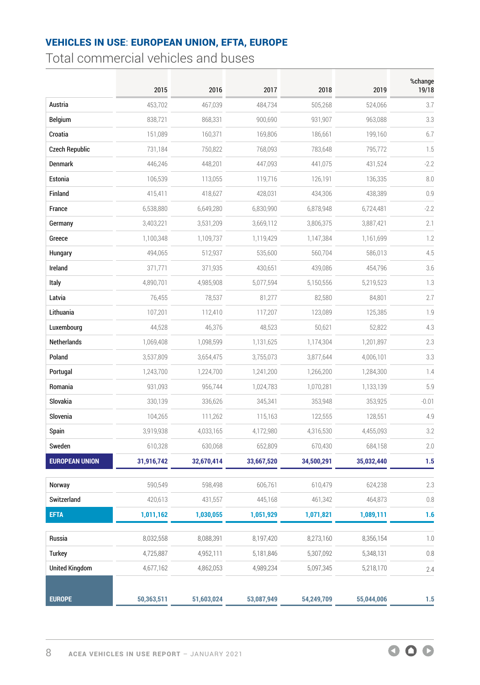<span id="page-7-0"></span>Total commercial vehicles and buses

|                       | 2015       | 2016       | 2017       | 2018       | 2019       | %change<br>19/18 |
|-----------------------|------------|------------|------------|------------|------------|------------------|
| Austria               | 453,702    | 467,039    | 484,734    | 505,268    | 524,066    | 3.7              |
| <b>Belgium</b>        | 838,721    | 868,331    | 900,690    | 931,907    | 963,088    | 3.3              |
| Croatia               | 151,089    | 160,371    | 169,806    | 186,661    | 199,160    | 6.7              |
| <b>Czech Republic</b> | 731,184    | 750,822    | 768,093    | 783,648    | 795,772    | 1.5              |
| Denmark               | 446,246    | 448,201    | 447,093    | 441,075    | 431,524    | $-2.2$           |
| Estonia               | 106,539    | 113,055    | 119,716    | 126,191    | 136,335    | 8.0              |
| Finland               | 415,411    | 418,627    | 428,031    | 434,306    | 438,389    | 0.9              |
| France                | 6,538,880  | 6,649,280  | 6,830,990  | 6,878,948  | 6,724,481  | $-2.2$           |
| Germany               | 3,403,221  | 3,531,209  | 3,669,112  | 3,806,375  | 3,887,421  | 2.1              |
| Greece                | 1,100,348  | 1,109,737  | 1,119,429  | 1,147,384  | 1,161,699  | 1.2              |
| Hungary               | 494,065    | 512,937    | 535,600    | 560,704    | 586,013    | 4.5              |
| Ireland               | 371,771    | 371,935    | 430,651    | 439,086    | 454,796    | 3.6              |
| Italy                 | 4,890,701  | 4,985,908  | 5,077,594  | 5,150,556  | 5,219,523  | 1.3              |
| Latvia                | 76,455     | 78,537     | 81,277     | 82,580     | 84,801     | 2.7              |
| Lithuania             | 107,201    | 112,410    | 117,207    | 123,089    | 125,385    | 1.9              |
| Luxembourg            | 44,528     | 46,376     | 48,523     | 50,621     | 52,822     | 4.3              |
| Netherlands           | 1,069,408  | 1,098,599  | 1,131,625  | 1,174,304  | 1,201,897  | 2.3              |
| Poland                | 3,537,809  | 3,654,475  | 3,755,073  | 3,877,644  | 4,006,101  | 3.3              |
| Portugal              | 1,243,700  | 1,224,700  | 1,241,200  | 1,266,200  | 1,284,300  | 1.4              |
| Romania               | 931,093    | 956,744    | 1,024,783  | 1,070,281  | 1,133,139  | 5.9              |
| Slovakia              | 330,139    | 336,626    | 345,341    | 353,948    | 353,925    | $-0.01$          |
| Slovenia              | 104,265    | 111,262    | 115,163    | 122,555    | 128,551    | 4.9              |
| Spain                 | 3,919,938  | 4,033,165  | 4,172,980  | 4,316,530  | 4,455,093  | 3.2              |
| Sweden                | 610,328    | 630,068    | 652,809    | 670,430    | 684,158    | 2.0              |
| <b>EUROPEAN UNION</b> | 31,916,742 | 32,670,414 | 33,667,520 | 34,500,291 | 35,032,440 | 1.5              |
| Norway                | 590,549    | 598,498    | 606,761    | 610,479    | 624,238    | 2.3              |
| Switzerland           | 420,613    | 431,557    | 445,168    | 461,342    | 464,873    | 0.8              |
| <b>EFTA</b>           | 1,011,162  | 1,030,055  | 1,051,929  | 1,071,821  | 1,089,111  | 1.6              |
| Russia                | 8,032,558  | 8,088,391  | 8,197,420  | 8,273,160  | 8,356,154  | $1.0$            |
| <b>Turkey</b>         | 4,725,887  | 4,952,111  | 5,181,846  | 5,307,092  | 5,348,131  | 0.8              |
| <b>United Kingdom</b> | 4,677,162  | 4,862,053  | 4,989,234  | 5,097,345  | 5,218,170  | 2.4              |
| <b>EUROPE</b>         | 50,363,511 | 51,603,024 | 53,087,949 | 54,249,709 | 55,044,006 | 1.5              |

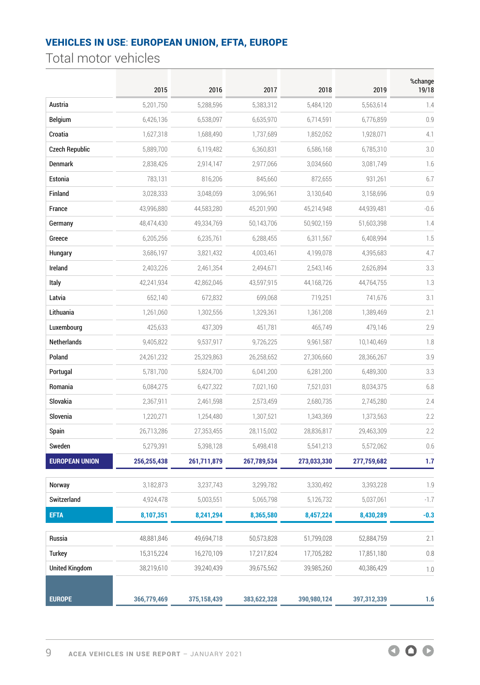<span id="page-8-0"></span>Total motor vehicles

|                       | 2015        | 2016        | 2017        | 2018        | 2019        | %change<br>19/18 |
|-----------------------|-------------|-------------|-------------|-------------|-------------|------------------|
| Austria               | 5,201,750   | 5,288,596   | 5,383,312   | 5,484,120   | 5,563,614   | 1.4              |
| <b>Belgium</b>        | 6,426,136   | 6,538,097   | 6,635,970   | 6,714,591   | 6,776,859   | 0.9              |
| Croatia               | 1,627,318   | 1,688,490   | 1,737,689   | 1,852,052   | 1,928,071   | 4.1              |
| <b>Czech Republic</b> | 5,889,700   | 6,119,482   | 6,360,831   | 6,586,168   | 6,785,310   | 3.0              |
| Denmark               | 2,838,426   | 2,914,147   | 2,977,066   | 3,034,660   | 3,081,749   | 1.6              |
| Estonia               | 783,131     | 816,206     | 845,660     | 872,655     | 931,261     | 6.7              |
| Finland               | 3,028,333   | 3,048,059   | 3,096,961   | 3,130,640   | 3,158,696   | 0.9              |
| France                | 43,996,880  | 44,583,280  | 45,201,990  | 45,214,948  | 44,939,481  | $-0.6$           |
| Germany               | 48,474,430  | 49,334,769  | 50,143,706  | 50,902,159  | 51,603,398  | 1.4              |
| Greece                | 6,205,256   | 6,235,761   | 6,288,455   | 6,311,567   | 6,408,994   | 1.5              |
| Hungary               | 3,686,197   | 3,821,432   | 4,003,461   | 4,199,078   | 4,395,683   | 4.7              |
| Ireland               | 2,403,226   | 2,461,354   | 2,494,671   | 2,543,146   | 2,626,894   | 3.3              |
| Italy                 | 42,241,934  | 42,862,046  | 43,597,915  | 44,168,726  | 44,764,755  | 1.3              |
| Latvia                | 652,140     | 672,832     | 699,068     | 719,251     | 741,676     | 3.1              |
| Lithuania             | 1,261,060   | 1,302,556   | 1,329,361   | 1,361,208   | 1,389,469   | 2.1              |
| Luxembourg            | 425,633     | 437,309     | 451,781     | 465,749     | 479,146     | 2.9              |
| Netherlands           | 9,405,822   | 9,537,917   | 9,726,225   | 9,961,587   | 10,140,469  | 1.8              |
| Poland                | 24,261,232  | 25,329,863  | 26,258,652  | 27,306,660  | 28,366,267  | 3.9              |
| Portugal              | 5,781,700   | 5,824,700   | 6,041,200   | 6,281,200   | 6,489,300   | 3.3              |
| Romania               | 6,084,275   | 6,427,322   | 7,021,160   | 7,521,031   | 8,034,375   | 6.8              |
| Slovakia              | 2,367,911   | 2,461,598   | 2,573,459   | 2,680,735   | 2,745,280   | 2.4              |
| Slovenia              | 1,220,271   | 1,254,480   | 1,307,521   | 1,343,369   | 1,373,563   | 2.2              |
| Spain                 | 26,713,286  | 27,353,455  | 28,115,002  | 28,836,817  | 29,463,309  | 2.2              |
| Sweden                | 5,279,391   | 5,398,128   | 5,498,418   | 5,541,213   | 5,572,062   | 0.6              |
| <b>EUROPEAN UNION</b> | 256,255,438 | 261,711,879 | 267,789,534 | 273,033,330 | 277,759,682 | 1.7              |
| Norway                | 3,182,873   | 3,237,743   | 3,299,782   | 3,330,492   | 3,393,228   | 1.9              |
| Switzerland           | 4,924,478   | 5,003,551   | 5,065,798   | 5,126,732   | 5,037,061   | $-1.7$           |
| <b>EFTA</b>           | 8,107,351   | 8,241,294   | 8,365,580   | 8,457,224   | 8,430,289   | $-0.3$           |
| Russia                | 48,881,846  | 49,694,718  | 50,573,828  | 51,799,028  | 52,884,759  | 2.1              |
| <b>Turkey</b>         | 15,315,224  | 16,270,109  | 17,217,824  | 17,705,282  | 17,851,180  | 0.8              |
| <b>United Kingdom</b> | 38,219,610  | 39,240,439  | 39,675,562  | 39,985,260  | 40,386,429  | $1.0\,$          |
| <b>EUROPE</b>         | 366,779,469 | 375,158,439 | 383,622,328 | 390,980,124 | 397,312,339 | 1.6              |

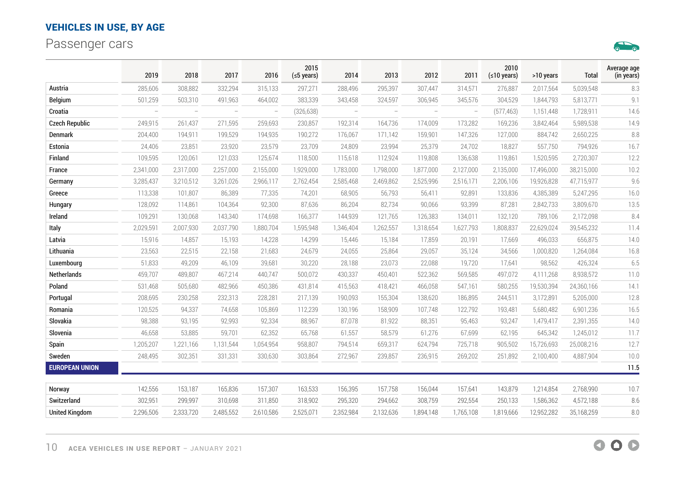<span id="page-9-0"></span>Passenger cars



|                       | 2019                     | 2018      | 2017                     | 2016                     | 2015<br>$(5$ years) | 2014                     | 2013                     | 2012                     | 2011                     | 2010<br>(≤10 years) | >10 years  | Total      | Average age<br>(in years) |
|-----------------------|--------------------------|-----------|--------------------------|--------------------------|---------------------|--------------------------|--------------------------|--------------------------|--------------------------|---------------------|------------|------------|---------------------------|
| Austria               | 285,606                  | 308,882   | 332,294                  | 315,133                  | 297,271             | 288,496                  | 295,397                  | 307,447                  | 314,571                  | 276,887             | 2,017,564  | 5,039,548  | 8.3                       |
| <b>Belgium</b>        | 501,259                  | 503,310   | 491,963                  | 464,002                  | 383,339             | 343,458                  | 324,597                  | 306,945                  | 345,576                  | 304,529             | 1,844,793  | 5,813,771  | 9.1                       |
| Croatia               | $\overline{\phantom{a}}$ | $\equiv$  | $\overline{\phantom{m}}$ | $\overline{\phantom{m}}$ | (326, 638)          | $\overline{\phantom{a}}$ | $\overline{\phantom{a}}$ | $\overline{\phantom{m}}$ | $\overline{\phantom{a}}$ | (577, 463)          | 1,151,448  | 1,728,911  | 14.6                      |
| <b>Czech Republic</b> | 249,915                  | 261,437   | 271,595                  | 259,693                  | 230,857             | 192,314                  | 164,736                  | 174,009                  | 173,282                  | 169,236             | 3,842,464  | 5,989,538  | 14.9                      |
| <b>Denmark</b>        | 204,400                  | 194,911   | 199,529                  | 194,935                  | 190,272             | 176,067                  | 171,142                  | 159,901                  | 147,326                  | 127,000             | 884,742    | 2,650,225  | 8.8                       |
| Estonia               | 24,406                   | 23,851    | 23,920                   | 23,579                   | 23,709              | 24,809                   | 23,994                   | 25,379                   | 24,702                   | 18,827              | 557,750    | 794,926    | 16.7                      |
| Finland               | 109,595                  | 120,061   | 121,033                  | 125,674                  | 118,500             | 115,618                  | 112,924                  | 119,808                  | 136,638                  | 119,861             | 1,520,595  | 2,720,307  | 12.2                      |
| France                | 2,341,000                | 2,317,000 | 2,257,000                | 2,155,000                | 1,929,000           | 1,783,000                | 1,798,000                | 1,877,000                | 2,127,000                | 2,135,000           | 17,496,000 | 38,215,000 | 10.2                      |
| Germany               | 3,285,437                | 3,210,512 | 3,261,026                | 2,966,117                | 2,762,454           | 2,585,468                | 2,469,862                | 2,525,996                | 2,516,171                | 2,206,106           | 19,926,828 | 47,715,977 | 9.6                       |
| Greece                | 113,338                  | 101,807   | 86,389                   | 77,335                   | 74,201              | 68,905                   | 56,793                   | 56,411                   | 92,891                   | 133,836             | 4,385,389  | 5,247,295  | 16.0                      |
| Hungary               | 128,092                  | 114,861   | 104,364                  | 92,300                   | 87,636              | 86,204                   | 82,734                   | 90,066                   | 93,399                   | 87,281              | 2,842,733  | 3,809,670  | 13.5                      |
| Ireland               | 109,291                  | 130,068   | 143,340                  | 174,698                  | 166,377             | 144,939                  | 121,765                  | 126,383                  | 134,011                  | 132,120             | 789,106    | 2,172,098  | 8.4                       |
| Italy                 | 2,029,591                | 2,007,930 | 2,037,790                | 1,880,704                | 1,595,948           | 1,346,404                | 1,262,557                | 1,318,654                | 1,627,793                | 1,808,837           | 22,629,024 | 39,545,232 | 11.4                      |
| Latvia                | 15,916                   | 14,857    | 15,193                   | 14,228                   | 14,299              | 15,446                   | 15,184                   | 17,859                   | 20,191                   | 17,669              | 496,033    | 656,875    | 14.0                      |
| Lithuania             | 23,563                   | 22,515    | 22,158                   | 21,683                   | 24,679              | 24,055                   | 25,864                   | 29,057                   | 35,124                   | 34,566              | 1,000,820  | 1,264,084  | 16.8                      |
| Luxembourg            | 51,833                   | 49,209    | 46,109                   | 39,681                   | 30,220              | 28,188                   | 23,073                   | 22,088                   | 19,720                   | 17,641              | 98,562     | 426,324    | 6.5                       |
| Netherlands           | 459,707                  | 489,807   | 467,214                  | 440,747                  | 500,072             | 430,337                  | 450,401                  | 522,362                  | 569,585                  | 497,072             | 4,111,268  | 8,938,572  | 11.0                      |
| Poland                | 531,468                  | 505,680   | 482,966                  | 450,386                  | 431,814             | 415,563                  | 418,421                  | 466,058                  | 547,161                  | 580,255             | 19,530,394 | 24,360,166 | 14.1                      |
| Portugal              | 208,695                  | 230,258   | 232,313                  | 228,281                  | 217,139             | 190,093                  | 155,304                  | 138,620                  | 186,895                  | 244,511             | 3,172,891  | 5,205,000  | 12.8                      |
| Romania               | 120,525                  | 94,337    | 74,658                   | 105,869                  | 112,239             | 130,196                  | 158,909                  | 107,748                  | 122,792                  | 193,481             | 5,680,482  | 6,901,236  | 16.5                      |
| Slovakia              | 98,388                   | 93,195    | 92,993                   | 92,334                   | 88,967              | 87,078                   | 81,922                   | 88,351                   | 95,463                   | 93,247              | 1,479,417  | 2,391,355  | 14.0                      |
| Slovenia              | 46,658                   | 53,885    | 59,701                   | 62,352                   | 65,768              | 61,557                   | 58,579                   | 61,276                   | 67,699                   | 62,195              | 645,342    | 1,245,012  | 11.7                      |
| Spain                 | 1,205,207                | 1,221,166 | 1,131,544                | 1,054,954                | 958,807             | 794,514                  | 659,317                  | 624,794                  | 725,718                  | 905,502             | 15,726,693 | 25,008,216 | 12.7                      |
| Sweden                | 248,495                  | 302,351   | 331,331                  | 330,630                  | 303,864             | 272,967                  | 239,857                  | 236,915                  | 269,202                  | 251,892             | 2,100,400  | 4,887,904  | 10.0                      |
| <b>EUROPEAN UNION</b> |                          |           |                          |                          |                     |                          |                          |                          |                          |                     |            |            | 11.5                      |
| Norway                | 142,556                  | 153,187   | 165,836                  | 157,307                  | 163,533             | 156,395                  | 157,758                  | 156,044                  | 157,641                  | 143,879             | 1,214,854  | 2,768,990  | 10.7                      |
| Switzerland           | 302,951                  | 299,997   | 310,698                  | 311,850                  | 318,902             | 295,320                  | 294,662                  | 308,759                  | 292,554                  | 250,133             | 1,586,362  | 4,572,188  | 8.6                       |
| <b>United Kingdom</b> | 2,296,506                | 2,333,720 | 2,485,552                | 2,610,586                | 2,525,071           | 2,352,984                | 2,132,636                | 1,894,148                | 1,765,108                | 1,819,666           | 12,952,282 | 35,168,259 | $8.0\,$                   |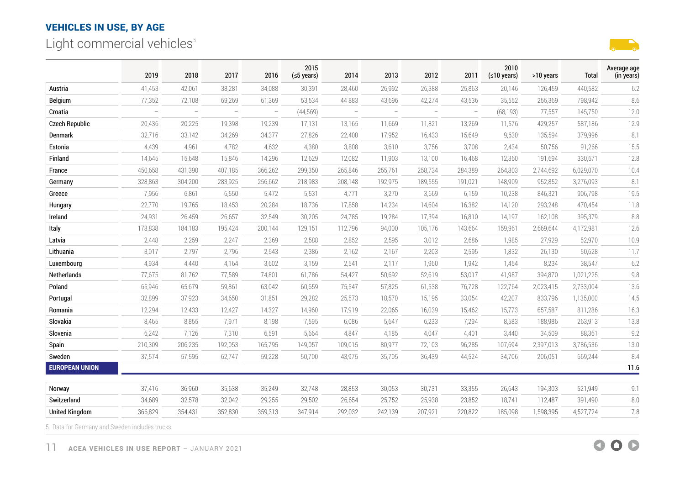<span id="page-10-0"></span>Light commercial vehicles<sup>5</sup>



|                       | 2019     | 2018                     | 2017    | 2016     | 2015<br>$(5$ years) | 2014                     | 2013                     | 2012                     | 2011                     | 2010<br>$(10 \text{ years})$ | >10 years | Total     | Average age<br>(in years) |
|-----------------------|----------|--------------------------|---------|----------|---------------------|--------------------------|--------------------------|--------------------------|--------------------------|------------------------------|-----------|-----------|---------------------------|
| Austria               | 41,453   | 42,061                   | 38,281  | 34,088   | 30,391              | 28,460                   | 26,992                   | 26,388                   | 25,863                   | 20,146                       | 126,459   | 440,582   | 6.2                       |
| Belgium               | 77,352   | 72,108                   | 69,269  | 61,369   | 53,534              | 44 883                   | 43,696                   | 42,274                   | 43,536                   | 35,552                       | 255,369   | 798,942   | 8.6                       |
| Croatia               | $\equiv$ | $\overline{\phantom{a}}$ | $\sim$  | $\equiv$ | (44, 569)           | $\overline{\phantom{0}}$ | $\overline{\phantom{a}}$ | $\overline{\phantom{0}}$ | $\overline{\phantom{0}}$ | (68, 193)                    | 77,557    | 145,750   | 12.0                      |
| <b>Czech Republic</b> | 20,436   | 20,225                   | 19,398  | 19,239   | 17,131              | 13,165                   | 11,669                   | 11,821                   | 13,269                   | 11,576                       | 429,257   | 587,186   | 12.9                      |
| Denmark               | 32,716   | 33,142                   | 34,269  | 34,377   | 27,826              | 22,408                   | 17,952                   | 16,433                   | 15,649                   | 9,630                        | 135,594   | 379,996   | 8.1                       |
| Estonia               | 4,439    | 4,961                    | 4,782   | 4,632    | 4,380               | 3,808                    | 3,610                    | 3,756                    | 3,708                    | 2,434                        | 50,756    | 91,266    | 15.5                      |
| Finland               | 14,645   | 15,648                   | 15,846  | 14,296   | 12,629              | 12,082                   | 11,903                   | 13,100                   | 16,468                   | 12,360                       | 191,694   | 330,671   | 12.8                      |
| France                | 450,658  | 431,390                  | 407,185 | 366,262  | 299,350             | 265,846                  | 255,761                  | 258,734                  | 284,389                  | 264,803                      | 2,744,692 | 6,029,070 | 10.4                      |
| Germany               | 328,863  | 304,200                  | 283,925 | 256,662  | 218,983             | 208,148                  | 192,975                  | 189,555                  | 191,021                  | 148,909                      | 952,852   | 3,276,093 | 8.1                       |
| Greece                | 7,956    | 6,861                    | 6,550   | 5,472    | 5,531               | 4,771                    | 3,270                    | 3,669                    | 6,159                    | 10,238                       | 846,321   | 906,798   | 19.5                      |
| Hungary               | 22,770   | 19,765                   | 18,453  | 20,284   | 18,736              | 17,858                   | 14,234                   | 14,604                   | 16,382                   | 14,120                       | 293,248   | 470,454   | 11.8                      |
| Ireland               | 24,931   | 26,459                   | 26,657  | 32,549   | 30,205              | 24,785                   | 19,284                   | 17,394                   | 16,810                   | 14,197                       | 162,108   | 395,379   | 8.8                       |
| Italy                 | 178,838  | 184,183                  | 195,424 | 200,144  | 129,151             | 112,796                  | 94,000                   | 105,176                  | 143,664                  | 159,961                      | 2,669,644 | 4,172,981 | 12.6                      |
| Latvia                | 2,448    | 2,259                    | 2,247   | 2,369    | 2,588               | 2,852                    | 2,595                    | 3,012                    | 2,686                    | 1,985                        | 27,929    | 52,970    | 10.9                      |
| Lithuania             | 3,017    | 2,797                    | 2,796   | 2,543    | 2,386               | 2,162                    | 2,167                    | 2,203                    | 2,595                    | 1,832                        | 26,130    | 50,628    | 11.7                      |
| Luxembourg            | 4,934    | 4,440                    | 4,164   | 3,602    | 3,159               | 2,541                    | 2,117                    | 1,960                    | 1,942                    | 1,454                        | 8,234     | 38,547    | 6.2                       |
| Netherlands           | 77,675   | 81,762                   | 77,589  | 74,801   | 61,786              | 54,427                   | 50,692                   | 52,619                   | 53,017                   | 41,987                       | 394,870   | 1,021,225 | 9.8                       |
| Poland                | 65,946   | 65,679                   | 59,861  | 63,042   | 60,659              | 75,547                   | 57,825                   | 61,538                   | 76,728                   | 122,764                      | 2,023,415 | 2,733,004 | 13.6                      |
| Portugal              | 32,899   | 37,923                   | 34,650  | 31,851   | 29,282              | 25,573                   | 18,570                   | 15,195                   | 33,054                   | 42,207                       | 833,796   | 1,135,000 | 14.5                      |
| Romania               | 12,294   | 12,433                   | 12,427  | 14,327   | 14,960              | 17,919                   | 22,065                   | 16,039                   | 15,462                   | 15,773                       | 657,587   | 811,286   | 16.3                      |
| Slovakia              | 8,465    | 8,855                    | 7,971   | 8,198    | 7,595               | 6,086                    | 5,647                    | 6,233                    | 7,294                    | 8,583                        | 188,986   | 263,913   | 13.8                      |
| Slovenia              | 6,242    | 7,126                    | 7,310   | 6,591    | 5,664               | 4,847                    | 4,185                    | 4,047                    | 4,401                    | 3,440                        | 34,509    | 88,361    | 9.2                       |
| Spain                 | 210,309  | 206,235                  | 192,053 | 165,795  | 149,057             | 109,015                  | 80,977                   | 72,103                   | 96,285                   | 107,694                      | 2,397,013 | 3,786,536 | 13.0                      |
| Sweden                | 37,574   | 57,595                   | 62,747  | 59,228   | 50,700              | 43,975                   | 35,705                   | 36,439                   | 44,524                   | 34,706                       | 206,051   | 669,244   | 8.4                       |
| <b>EUROPEAN UNION</b> |          |                          |         |          |                     |                          |                          |                          |                          |                              |           |           | 11.6                      |
| Norway                | 37,416   | 36,960                   | 35,638  | 35,249   | 32,748              | 28,853                   | 30,053                   | 30,731                   | 33,355                   | 26,643                       | 194,303   | 521,949   | 9.1                       |
| Switzerland           | 34,689   | 32,578                   | 32,042  | 29,255   | 29,502              | 26,654                   | 25,752                   | 25,938                   | 23,852                   | 18,741                       | 112,487   | 391,490   | $8.0\,$                   |
| <b>United Kingdom</b> | 366,829  | 354,431                  | 352,830 | 359,313  | 347,914             | 292,032                  | 242,139                  | 207,921                  | 220,822                  | 185,098                      | 1,598,395 | 4,527,724 | 7.8                       |

5. Data for Germany and Sweden includes trucks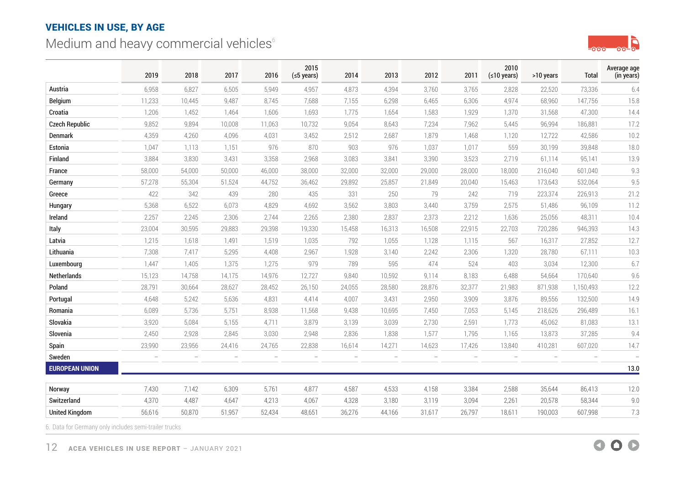# <span id="page-11-0"></span>Medium and heavy commercial vehicles<sup>6</sup>



|                       | 2019   | 2018   | 2017   | 2016   | 2015<br>$(5$ years)      | 2014                     | 2013   | 2012   | 2011   | 2010<br>(≤10 years) | >10 years | Total     | Average age<br>(in years) |
|-----------------------|--------|--------|--------|--------|--------------------------|--------------------------|--------|--------|--------|---------------------|-----------|-----------|---------------------------|
| Austria               | 6,958  | 6,827  | 6,505  | 5,949  | 4,957                    | 4,873                    | 4,394  | 3,760  | 3,765  | 2,828               | 22,520    | 73,336    | 6.4                       |
| <b>Belgium</b>        | 11,233 | 10,445 | 9,487  | 8,745  | 7,688                    | 7,155                    | 6,298  | 6,465  | 6,306  | 4,974               | 68,960    | 147,756   | 15.8                      |
| Croatia               | 1,206  | 1,452  | 1,464  | 1,606  | 1,693                    | 1,775                    | 1,654  | 1,583  | 1,929  | 1,370               | 31,568    | 47,300    | 14.4                      |
| <b>Czech Republic</b> | 9,852  | 9,894  | 10,008 | 11,063 | 10,732                   | 9,054                    | 8,643  | 7,234  | 7,962  | 5,445               | 96,994    | 186,881   | 17.2                      |
| Denmark               | 4,359  | 4,260  | 4,096  | 4,031  | 3,452                    | 2,512                    | 2,687  | 1,879  | 1,468  | 1,120               | 12,722    | 42,586    | 10.2                      |
| Estonia               | 1,047  | 1,113  | 1,151  | 976    | 870                      | 903                      | 976    | 1,037  | 1,017  | 559                 | 30,199    | 39,848    | 18.0                      |
| Finland               | 3,884  | 3,830  | 3,431  | 3,358  | 2,968                    | 3,083                    | 3,841  | 3,390  | 3,523  | 2,719               | 61,114    | 95,141    | 13.9                      |
| France                | 58,000 | 54,000 | 50,000 | 46,000 | 38,000                   | 32,000                   | 32,000 | 29,000 | 28,000 | 18,000              | 216,040   | 601,040   | 9.3                       |
| Germany               | 57,278 | 55,304 | 51,524 | 44,752 | 36,462                   | 29,892                   | 25,857 | 21,849 | 20,040 | 15,463              | 173,643   | 532,064   | 9.5                       |
| Greece                | 422    | 342    | 439    | 280    | 435                      | 331                      | 250    | 79     | 242    | 719                 | 223,374   | 226,913   | 21.2                      |
| Hungary               | 5,368  | 6,522  | 6,073  | 4,829  | 4,692                    | 3,562                    | 3,803  | 3,440  | 3,759  | 2,575               | 51,486    | 96,109    | 11.2                      |
| Ireland               | 2,257  | 2,245  | 2,306  | 2,744  | 2,265                    | 2,380                    | 2,837  | 2,373  | 2,212  | 1,636               | 25,056    | 48,311    | 10.4                      |
| Italy                 | 23,004 | 30,595 | 29,883 | 29,398 | 19,330                   | 15,458                   | 16,313 | 16,508 | 22,915 | 22,703              | 720,286   | 946,393   | 14.3                      |
| Latvia                | 1,215  | 1,618  | 1,491  | 1,519  | 1,035                    | 792                      | 1,055  | 1,128  | 1,115  | 567                 | 16,317    | 27,852    | 12.7                      |
| Lithuania             | 7,308  | 7,417  | 5,295  | 4,408  | 2,967                    | 1,928                    | 3,140  | 2,242  | 2,306  | 1,320               | 28,780    | 67,111    | 10.3                      |
| Luxembourg            | 1,447  | 1,405  | 1,375  | 1,275  | 979                      | 789                      | 595    | 474    | 524    | 403                 | 3,034     | 12,300    | 6.7                       |
| Netherlands           | 15,123 | 14,758 | 14,175 | 14,976 | 12,727                   | 9,840                    | 10,592 | 9,114  | 8,183  | 6,488               | 54,664    | 170,640   | 9.6                       |
| Poland                | 28,791 | 30,664 | 28,627 | 28,452 | 26,150                   | 24,055                   | 28,580 | 28,876 | 32,377 | 21,983              | 871,938   | 1,150,493 | 12.2                      |
| Portugal              | 4,648  | 5,242  | 5,636  | 4,831  | 4,414                    | 4,007                    | 3,431  | 2,950  | 3,909  | 3,876               | 89,556    | 132,500   | 14.9                      |
| Romania               | 6,089  | 5,736  | 5,751  | 8,938  | 11,568                   | 9,438                    | 10,695 | 7,450  | 7,053  | 5,145               | 218,626   | 296,489   | 16.1                      |
| Slovakia              | 3,920  | 5,084  | 5,155  | 4,711  | 3,879                    | 3,139                    | 3,039  | 2,730  | 2,591  | 1,773               | 45,062    | 81,083    | 13.1                      |
| Slovenia              | 2,450  | 2,928  | 2,845  | 3,030  | 2,948                    | 2,836                    | 1,838  | 1,577  | 1,795  | 1,165               | 13,873    | 37,285    | 9.4                       |
| Spain                 | 23,990 | 23,956 | 24,416 | 24,765 | 22,838                   | 16,614                   | 14,271 | 14,623 | 17,426 | 13,840              | 410,281   | 607,020   | 14.7                      |
| Sweden                |        |        |        | ÷      | $\overline{\phantom{0}}$ | $\overline{\phantom{0}}$ |        |        |        |                     |           |           |                           |
| <b>EUROPEAN UNION</b> |        |        |        |        |                          |                          |        |        |        |                     |           |           | 13.0                      |
| Norway                | 7,430  | 7,142  | 6,309  | 5,761  | 4,877                    | 4,587                    | 4,533  | 4,158  | 3,384  | 2,588               | 35,644    | 86,413    | 12.0                      |
| Switzerland           | 4,370  | 4,487  | 4,647  | 4,213  | 4,067                    | 4,328                    | 3,180  | 3,119  | 3,094  | 2,261               | 20,578    | 58,344    | 9.0                       |
| <b>United Kingdom</b> | 56,616 | 50,870 | 51,957 | 52,434 | 48,651                   | 36,276                   | 44,166 | 31,617 | 26,797 | 18,611              | 190,003   | 607,998   | 7.3                       |

6. Data for Germany only includes semi-trailer trucks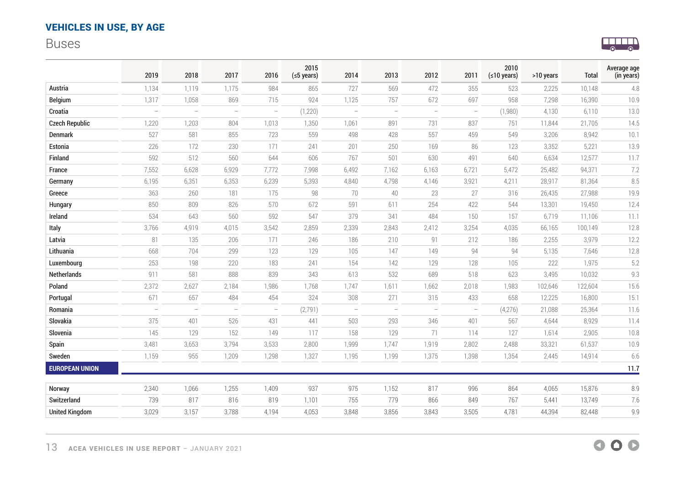## <span id="page-12-0"></span>Buses



|                       | 2019                     | 2018                     | 2017                     | 2016                     | 2015<br>$(5$ years) | 2014          | 2013                     | 2012     | 2011                     | 2010<br>(≤10 years) | >10 years | Total   | Average age<br>(in years) |
|-----------------------|--------------------------|--------------------------|--------------------------|--------------------------|---------------------|---------------|--------------------------|----------|--------------------------|---------------------|-----------|---------|---------------------------|
| Austria               | 1,134                    | 1,119                    | 1,175                    | 984                      | 865                 | 727           | 569                      | 472      | 355                      | 523                 | 2,225     | 10,148  | 4.8                       |
| Belgium               | 1,317                    | 1,058                    | 869                      | 715                      | 924                 | 1,125         | 757                      | 672      | 697                      | 958                 | 7,298     | 16,390  | 10.9                      |
| Croatia               | $\overline{\phantom{a}}$ | $\equiv$                 | $\sim$                   | $\overline{\phantom{m}}$ | (1,220)             | $\frac{1}{2}$ | $\overline{\phantom{m}}$ | $\equiv$ | $\overline{\phantom{a}}$ | (1,980)             | 4,130     | 6,110   | 13.0                      |
| <b>Czech Republic</b> | 1,220                    | 1,203                    | 804                      | 1,013                    | 1,350               | 1,061         | 891                      | 731      | 837                      | 751                 | 11,844    | 21,705  | 14.5                      |
| Denmark               | 527                      | 581                      | 855                      | 723                      | 559                 | 498           | 428                      | 557      | 459                      | 549                 | 3,206     | 8,942   | 10.1                      |
| Estonia               | 226                      | 172                      | 230                      | 171                      | 241                 | 201           | 250                      | 169      | 86                       | 123                 | 3,352     | 5,221   | 13.9                      |
| Finland               | 592                      | 512                      | 560                      | 644                      | 606                 | 767           | 501                      | 630      | 491                      | 640                 | 6,634     | 12,577  | 11.7                      |
| France                | 7,552                    | 6,628                    | 6,929                    | 7,772                    | 7,998               | 6,492         | 7,162                    | 6,163    | 6,721                    | 5,472               | 25,482    | 94,371  | 7.2                       |
| Germany               | 6,195                    | 6,351                    | 6,353                    | 6,239                    | 5,393               | 4,840         | 4,798                    | 4,146    | 3,921                    | 4,211               | 28,917    | 81,364  | 8.5                       |
| Greece                | 363                      | 260                      | 181                      | 175                      | 98                  | 70            | 40                       | 23       | 27                       | 316                 | 26,435    | 27,988  | 19.9                      |
| Hungary               | 850                      | 809                      | 826                      | 570                      | 672                 | 591           | 611                      | 254      | 422                      | 544                 | 13,301    | 19,450  | 12.4                      |
| Ireland               | 534                      | 643                      | 560                      | 592                      | 547                 | 379           | 341                      | 484      | 150                      | 157                 | 6,719     | 11,106  | 11.1                      |
| Italy                 | 3,766                    | 4,919                    | 4,015                    | 3,542                    | 2,859               | 2,339         | 2,843                    | 2,412    | 3,254                    | 4,035               | 66,165    | 100,149 | 12.8                      |
| Latvia                | 81                       | 135                      | 206                      | 171                      | 246                 | 186           | 210                      | 91       | 212                      | 186                 | 2,255     | 3,979   | 12.2                      |
| Lithuania             | 668                      | 704                      | 299                      | 123                      | 129                 | 105           | 147                      | 149      | 94                       | 94                  | 5,135     | 7,646   | 12.8                      |
| Luxembourg            | 253                      | 198                      | 220                      | 183                      | 241                 | 154           | 142                      | 129      | 128                      | 105                 | 222       | 1,975   | 5.2                       |
| Netherlands           | 911                      | 581                      | 888                      | 839                      | 343                 | 613           | 532                      | 689      | 518                      | 623                 | 3,495     | 10,032  | 9.3                       |
| Poland                | 2,372                    | 2,627                    | 2,184                    | 1,986                    | 1,768               | 1,747         | 1,611                    | 1,662    | 2,018                    | 1,983               | 102,646   | 122,604 | 15.6                      |
| Portugal              | 671                      | 657                      | 484                      | 454                      | 324                 | 308           | 271                      | 315      | 433                      | 658                 | 12,225    | 16,800  | 15.1                      |
| Romania               | $\overline{\phantom{a}}$ | $\overline{\phantom{a}}$ | $\overline{\phantom{a}}$ | $\overline{\phantom{m}}$ | (2, 791)            | $\equiv$      | $\overline{\phantom{0}}$ | $\equiv$ | $\overline{\phantom{a}}$ | (4,276)             | 21,088    | 25,364  | 11.6                      |
| Slovakia              | 375                      | 401                      | 526                      | 431                      | 441                 | 503           | 293                      | 346      | 401                      | 567                 | 4,644     | 8,929   | 11.4                      |
| Slovenia              | 145                      | 129                      | 152                      | 149                      | 117                 | 158           | 129                      | 71       | 114                      | 127                 | 1,614     | 2,905   | 10.8                      |
| Spain                 | 3,481                    | 3,653                    | 3,794                    | 3,533                    | 2,800               | 1,999         | 1,747                    | 1,919    | 2,802                    | 2,488               | 33,321    | 61,537  | 10.9                      |
| Sweden                | 1,159                    | 955                      | 1,209                    | 1,298                    | 1,327               | 1,195         | 1,199                    | 1,375    | 1,398                    | 1,354               | 2,445     | 14,914  | 6.6                       |
| <b>EUROPEAN UNION</b> |                          |                          |                          |                          |                     |               |                          |          |                          |                     |           |         | 11.7                      |
| Norway                | 2,340                    | 1,066                    | 1,255                    | 1,409                    | 937                 | 975           | 1,152                    | 817      | 996                      | 864                 | 4,065     | 15,876  | 8.9                       |
| Switzerland           | 739                      | 817                      | 816                      | 819                      | 1,101               | 755           | 779                      | 866      | 849                      | 767                 | 5,441     | 13,749  | 7.6                       |
| <b>United Kingdom</b> | 3,029                    | 3,157                    | 3,788                    | 4,194                    | 4,053               | 3,848         | 3,856                    | 3,843    | 3,505                    | 4,781               | 44,394    | 82,448  | 9.9                       |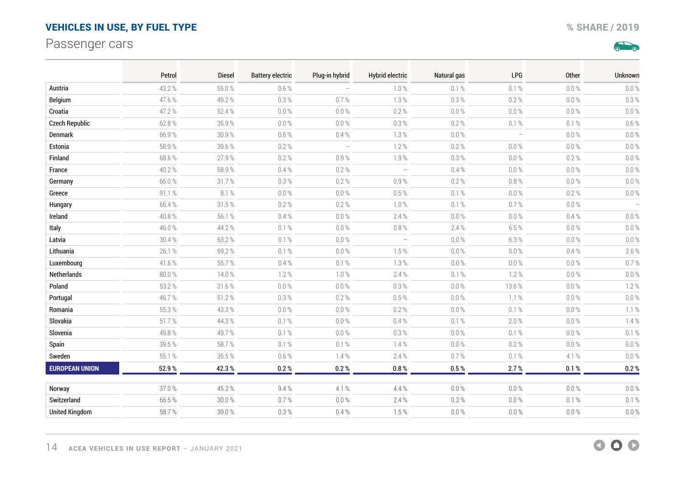## <span id="page-13-0"></span>Passenger cars

 $\sum_{i=1}^{n}$ 

|                       | Petrol | <b>Diesel</b> | <b>Battery electric</b> | Plug-in hybrid           | <b>Hybrid electric</b>   | Natural gas | LPG                      | Other      | Unknown                  |
|-----------------------|--------|---------------|-------------------------|--------------------------|--------------------------|-------------|--------------------------|------------|--------------------------|
| Austria               | 43.2%  | 55.0%         | 0.6 %                   |                          | 1.0%                     | 0.1%        | 0.1%                     | $0.0\%$    | $0.0\ \%$                |
| <b>Belgium</b>        | 47.6%  | 49.2%         | 0.3%                    | 0.7%                     | 1.3%                     | 0.3%        | $0.2 \%$                 | $0.0 \%$   | 0.3%                     |
| Croatia               | 47.2%  | 52.4 %        | $0.0\%$                 | $0.0\%$                  | $0.2 \%$                 | $0.0\ \%$   | $0.0\ \%$                | $0.0\ \%$  | $0.0\%$                  |
| <b>Czech Republic</b> | 62.8%  | 35.9%         | $0.0 \%$                | $0.0\,\%$                | $0.3\%$                  | $0.2 \%$    | $0.1 \%$                 | 0.1 %      | $0.6 \%$                 |
| Denmark               | 66.9%  | 30.9%         | $0.6\ \%$               | $0.4 \%$                 | $1.3\%$                  | $0.0\%$     | $\overline{\phantom{a}}$ | $0.0\ \%$  | $0.0\%$                  |
| Estonia               | 58.9%  | 39.6%         | $0.2 \%$                | $\overline{\phantom{a}}$ | 1.2%                     | $0.2 \%$    | $0.0\%$                  | $0.0\ \%$  | $0.0\%$                  |
| Finland               | 68.6%  | 27.9%         | 0.2%                    | 0.9%                     | 1.9%                     | 0.3%        | $0.0 \%$                 | 0.2%       | $0.0\%$                  |
| France                | 40.2%  | 58.9%         | $0.4 \%$                | $0.2\ \%$                | $\overline{\phantom{a}}$ | $0.4\ \%$   | $0.0\ \%$                | $0.0\ \%$  | $0.0\ \%$                |
| Germany               | 66.0%  | 31.7%         | 0.3%                    | 0.2 %                    | $0.9 \%$                 | $0.2 \%$    | $0.8 \%$                 | $0.0\ \%$  | $0.0\%$                  |
| Greece                | 91.1%  | 8.1%          | $0.0\,\%$               | $0.0\ \%$                | $0.5\ \%$                | $0.1 \%$    | $0.0\ \%$                | $0.2\ \%$  | $0.0 \%$                 |
| Hungary               | 66.4%  | 31.5%         | $0.2 \%$                | $0.2 \%$                 | $1.0 \%$                 | $0.1 \%$    | $0.7 \%$                 | $0.0\ \%$  | $\overline{\phantom{m}}$ |
| Ireland               | 40.8%  | 56.1%         | $0.4 \%$                | $0.0\ \%$                | 2.4%                     | $0.0\ \%$   | $0.0 \%$                 | 0.4%       | $0.0\%$                  |
| Italy                 | 46.0%  | 44.2%         | $0.1 \%$                | $0.0\ \%$                | $0.8\ \%$                | 2.4%        | 6.5%                     | $0.0\ \%$  | $0.0 \%$                 |
| Latvia                | 30.4%  | 63.2%         | 0.1%                    | $0.0 \%$                 | $\overline{\phantom{m}}$ | $0.0 \%$    | 6.3%                     | $0.0 \%$   | $0.0\%$                  |
| Lithuania             | 26.1%  | 69.2%         | 0.1%                    | $0.0\ \%$                | 1.5%                     | $0.0\ \%$   | $0.0\%$                  | 0.4%       | 2.6%                     |
| Luxembourg            | 41.6%  | 55.7%         | $0.4 \%$                | $0.1 \%$                 | $1.3\%$                  | $0.0\ \%$   | $0.0\ \%$                | $0.0 \%$   | $0.7 \%$                 |
| Netherlands           | 80.0%  | 14.0%         | 1.2%                    | 1.0%                     | 2.4%                     | $0.1 \%$    | 1.2%                     | $0.0 \%$   | $0.0\ \%$                |
| Poland                | 53.2 % | 31.6%         | $0.0\ \%$               | $0.0\ \%$                | $0.3 \%$                 | $0.0\ \%$   | 13.6%                    | $0.0\ \%$  | 1.2%                     |
| Portugal              | 46.7%  | 51.2%         | $0.3\%$                 | $0.2 \%$                 | $0.5\ \%$                | $0.0\ \%$   | 1.1%                     | $0.0\ \%$  | $0.0\%$                  |
| Romania               | 55.3 % | 43.3 %        | $0.0\ \%$               | $0.0\ \%$                | 0.2%                     | $0.0\,\%$   | $0.1 \%$                 | $0.0\ \%$  | 1.1%                     |
| Slovakia              | 51.7%  | 44.3%         | $0.1 \%$                | $0.0\%$                  | $0.4 \%$                 | $0.1 \%$    | 2.0%                     | $0.0 \%$   | 1.4%                     |
| Slovenia              | 49.8%  | 49.7%         | 0.1%                    | $0.0\ \%$                | $0.3 \%$                 | $0.0\%$     | $0.1 \%$                 | $0.0\ \%$  | $0.1 \%$                 |
| Spain                 | 39.5%  | 58.7%         | 0.1%                    | 0.1%                     | 1.4%                     | $0.0 \%$    | $0.2 \%$                 | $0.0 \%$   | $0.0 \%$                 |
| Sweden                | 55.1%  | 35.5 %        | 0.6%                    | 1.4%                     | 2.4%                     | 0.7%        | $0.1 \%$                 | 4.1 %      | $0.0\%$                  |
| <b>EUROPEAN UNION</b> | 52.9%  | 42.3%         | 0.2%                    | 0.2 %                    | 0.8%                     | $0.5\,\%$   | 2.7%                     | $0.1\, \%$ | 0.2 %                    |
| Norway                | 37.0%  | 45.2%         | 9.4%                    | 4.1 %                    | 4.4%                     | $0.0\ \%$   | $0.0\%$                  | $0.0\ \%$  | $0.0\ \%$                |
| Switzerland           | 66.5%  | $30.0\,\%$    | $0.7 \%$                | $0.0\ \%$                | 2.4%                     | 0.2 %       | $0.0\ \%$                | 0.1 %      | $0.1 \%$                 |
| <b>United Kingdom</b> | 58.7%  | 39.0%         | 0.3%                    | 0.4%                     | 1.5%                     | $0.0\,\%$   | $0.0 \%$                 | $0.0\ \%$  | $0.0 \%$                 |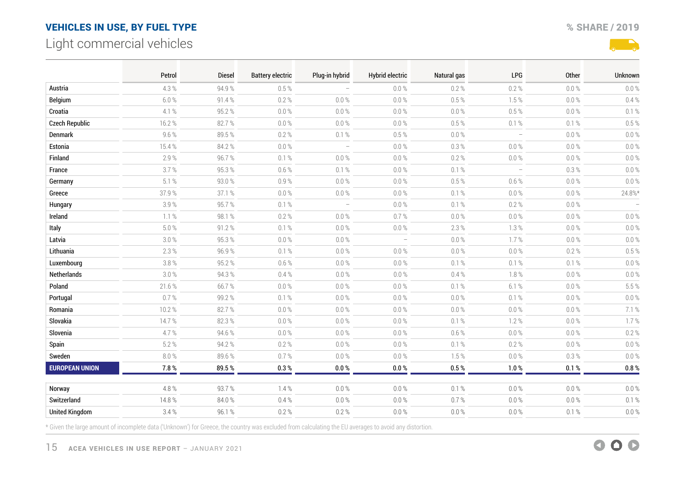## <span id="page-14-0"></span>Light commercial vehicles



|                       | Petrol    | <b>Diesel</b> | <b>Battery electric</b> | Plug-in hybrid                  | <b>Hybrid electric</b>   | Natural gas | <b>LPG</b>                      | Other     | Unknown   |
|-----------------------|-----------|---------------|-------------------------|---------------------------------|--------------------------|-------------|---------------------------------|-----------|-----------|
| Austria               | 4.3%      | 94.9%         | 0.5%                    |                                 | $0.0\%$                  | 0.2%        | 0.2%                            | $0.0 \%$  | 0.0%      |
| Belgium               | 6.0%      | 91.4%         | $0.2 \%$                | $0.0\%$                         | $0.0 \%$                 | $0.5\,\%$   | 1.5%                            | $0.0\ \%$ | $0.4 \%$  |
| Croatia               | 4.1%      | 95.2%         | $0.0\%$                 | $0.0\ \%$                       | $0.0\%$                  | $0.0\ \%$   | $0.5\%$                         | $0.0\ \%$ | 0.1%      |
| <b>Czech Republic</b> | 16.2%     | 82.7%         | $0.0\%$                 | $0.0\,\%$                       | $0.0\ \%$                | $0.5\ \%$   | 0.1 %                           | 0.1 %     | $0.5 \%$  |
| Denmark               | 9.6%      | 89.5%         | $0.2 \%$                | 0.1%                            | $0.5 \%$                 | $0.0\ \%$   | $\hspace{0.1mm}-\hspace{0.1mm}$ | $0.0\ \%$ | $0.0\%$   |
| Estonia               | 15.4%     | 84.2%         | $0.0\%$                 | $\overline{\phantom{a}}$        | $0.0 \%$                 | 0.3 %       | 0.0%                            | $0.0 \%$  | $0.0\ \%$ |
| Finland               | 2.9%      | 96.7%         | $0.1 \%$                | $0.0\%$                         | $0.0\,\%$                | $0.2 \%$    | $0.0\%$                         | $0.0\ \%$ | $0.0\%$   |
| France                | 3.7%      | 95.3%         | 0.6%                    | 0.1%                            | $0.0\%$                  | 0.1%        | $\overline{\phantom{a}}$        | 0.3%      | $0.0\%$   |
| Germany               | 5.1%      | 93.0%         | 0.9%                    | $0.0\ \%$                       | $0.0 \%$                 | $0.5\%$     | $0.6\%$                         | $0.0\ \%$ | $0.0 \%$  |
| Greece                | 37.9%     | 37.1 %        | $0.0\%$                 | $0.0\ \%$                       | $0.0 \%$                 | $0.1 \%$    | $0.0 \%$                        | $0.0\ \%$ | $24.8\%*$ |
| Hungary               | 3.9%      | 95.7%         | 0.1%                    | $\hspace{0.1mm}-\hspace{0.1mm}$ | $0.0\ \%$                | $0.1 \%$    | $0.2 \%$                        | $0.0\ \%$ |           |
| Ireland               | $1.1\%$   | 98.1%         | $0.2 \%$                | $0.0\ \%$                       | 0.7%                     | $0.0\ \%$   | $0.0\,\%$                       | $0.0\ \%$ | $0.0\ \%$ |
| Italy                 | $5.0\ \%$ | 91.2%         | $0.1 \%$                | $0.0 \%$                        | $0.0\ \%$                | 2.3%        | 1.3%                            | $0.0 \%$  | $0.0\%$   |
| Latvia                | $3.0\ \%$ | 95.3%         | $0.0\%$                 | $0.0\ \%$                       | $\overline{\phantom{a}}$ | $0.0\ \%$   | 1.7%                            | $0.0\ \%$ | $0.0\%$   |
| Lithuania             | 2.3 %     | 96.9%         | 0.1%                    | $0.0 \%$                        | $0.0 \%$                 | $0.0 \%$    | $0.0\%$                         | 0.2%      | $0.5 \%$  |
| Luxembourg            | 3.8%      | 95.2%         | $0.6\%$                 | $0.0\ \%$                       | $0.0 \%$                 | 0.1 %       | 0.1 %                           | 0.1%      | $0.0\%$   |
| Netherlands           | 3.0%      | 94.3%         | 0.4%                    | $0.0\ \%$                       | $0.0 \%$                 | 0.4%        | 1.8%                            | $0.0 \%$  | $0.0 \%$  |
| Poland                | 21.6%     | 66.7%         | $0.0\%$                 | $0.0\ \%$                       | $0.0\ \%$                | 0.1 %       | 6.1%                            | $0.0\ \%$ | 5.5%      |
| Portugal              | 0.7%      | 99.2%         | $0.1 \%$                | $0.0\ \%$                       | $0.0\%$                  | $0.0\ \%$   | 0.1 %                           | $0.0\ \%$ | $0.0\%$   |
| Romania               | 10.2%     | 82.7%         | $0.0\%$                 | $0.0 \%$                        | $0.0\%$                  | $0.0 \%$    | $0.0 \%$                        | $0.0 \%$  | 7.1%      |
| Slovakia              | 14.7%     | 82.3%         | $0.0\%$                 | $0.0\ \%$                       | $0.0\%$                  | 0.1 %       | 1.2%                            | $0.0\ \%$ | 1.7%      |
| Slovenia              | 4.7%      | 94.6%         | $0.0\%$                 | $0.0\,\%$                       | $0.0\%$                  | $0.6 \%$    | $0.0\ \%$                       | $0.0\ \%$ | $0.2 \%$  |
| Spain                 | 5.2%      | 94.2%         | $0.2 \%$                | $0.0\ \%$                       | $0.0 \%$                 | 0.1%        | 0.2%                            | $0.0 \%$  | $0.0\%$   |
| Sweden                | $8.0\ \%$ | 89.6%         | $0.7 \%$                | $0.0\ \%$                       | $0.0 \%$                 | 1.5%        | $0.0\ \%$                       | $0.3 \%$  | $0.0\%$   |
| <b>EUROPEAN UNION</b> | 7.8%      | 89.5%         | $0.3\,\%$               | $0.0\,\%$                       | 0.0 %                    | $0.5\,\%$   | 1.0%                            | 0.1 %     | $0.8\,\%$ |
| Norway                | 4.8%      | 93.7%         | 1.4%                    | 0.0 %                           | $0.0\%$                  | 0.1%        | 0.0%                            | $0.0 \%$  | $0.0\%$   |
| Switzerland           | 14.8%     | 84.0%         | $0.4 \%$                | $0.0\ \%$                       | $0.0 \%$                 | $0.7 \%$    | $0.0\,\%$                       | $0.0\ \%$ | 0.1 %     |
| <b>United Kingdom</b> | 3.4%      | 96.1%         | $0.2 \%$                | 0.2 %                           | $0.0 \%$                 | $0.0\ \%$   | $0.0\ \%$                       | 0.1 %     | $0.0 \%$  |

\* Given the large amount of incomplete data ('Unknown') for Greece, the country was excluded from calculating the EU averages to avoid any distortion.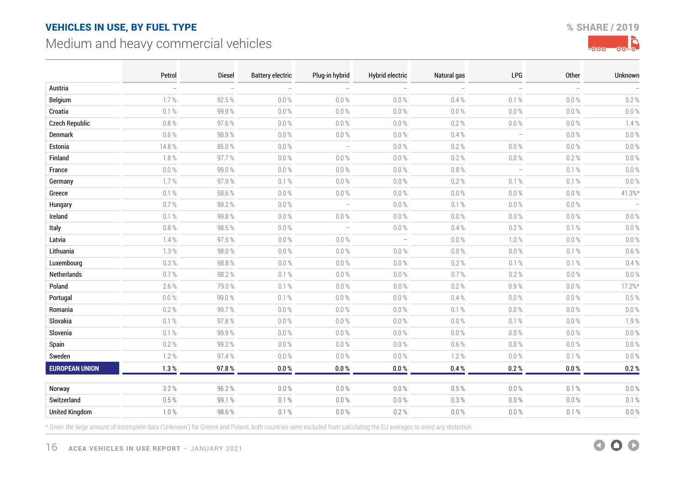## <span id="page-15-0"></span>Medium and heavy commercial vehicles





|                       | Petrol    | <b>Diesel</b> | <b>Battery electric</b> | Plug-in hybrid                  | <b>Hybrid electric</b>   | Natural gas | <b>LPG</b>               | <b>Other</b> | Unknown   |
|-----------------------|-----------|---------------|-------------------------|---------------------------------|--------------------------|-------------|--------------------------|--------------|-----------|
| Austria               |           |               |                         |                                 |                          |             | $\equiv$                 |              |           |
| Belgium               | 1.7%      | 92.5%         | $0.0\ \%$               | $0.0 \%$                        | 0.0%                     | 0.4%        | 0.1%                     | $0.0 \%$     | 5.2%      |
| Croatia               | 0.1 %     | 99.9%         | $0.0 \%$                | $0.0 \%$                        | $0.0 \%$                 | $0.0\%$     | 0.0 %                    | 0.0%         | $0.0\%$   |
| <b>Czech Republic</b> | $0.8\ \%$ | 97.6%         | $0.0\ \%$               | $0.0 \%$                        | $0.0\ \%$                | $0.2 \%$    | $0.0 \%$                 | $0.0\ \%$    | 7.4%      |
| Denmark               | $0.6\ \%$ | 98.9%         | $0.0\ \%$               | $0.0\ \%$                       | $0.0\ \%$                | 0.4%        | $\overline{\phantom{a}}$ | $0.0\%$      | $0.0\%$   |
| Estonia               | 14.8%     | 85.0%         | $0.0\ \%$               | $\overline{\phantom{a}}$        | $0.0\ \%$                | $0.2 \%$    | 0.0 %                    | $0.0\%$      | $0.0\%$   |
| Finland               | 1.8%      | 97.7%         | $0.0 \%$                | $0.0 \%$                        | $0.0 \%$                 | $0.2 \%$    | $0.0 \%$                 | $0.2 \%$     | $0.0\%$   |
| France                | $0.0 \%$  | 99.0%         | $0.0 \%$                | $0.0 \%$                        | $0.0\ \%$                | $0.8 \%$    | $\overline{\phantom{a}}$ | 0.1%         | $0.0\%$   |
| Germany               | 1.7%      | 97.9%         | 0.1%                    | $0.0 \%$                        | $0.0 \%$                 | 0.2%        | 0.1%                     | 0.1%         | $0.0\%$   |
| Greece                | 0.1 %     | 58.6%         | $0.0\ \%$               | $0.0 \%$                        | $0.0 \%$                 | $0.0\%$     | 0.0 %                    | $0.0\%$      | $41.3\%*$ |
| Hungary               | $0.7\,\%$ | 99.2%         | $0.0\ \%$               | $\hspace{0.1mm}-\hspace{0.1mm}$ | $0.0\ \%$                | $0.1 \%$    | $0.0\ \%$                | $0.0\ \%$    |           |
| Ireland               | 0.1%      | 99.8%         | $0.0 \%$                | $0.0 \%$                        | $0.0 \%$                 | $0.0 \%$    | $0.0 \%$                 | $0.0\%$      | $0.0 \%$  |
| Italy                 | $0.8\ \%$ | 98.5%         | $0.0\ \%$               | $\overline{\phantom{a}}$        | $0.0 \%$                 | $0.4\,\%$   | $0.2 \%$                 | 0.1%         | $0.0\ \%$ |
| Latvia                | 1.4%      | 97.6%         | $0.0 \%$                | $0.0 \%$                        | $\overline{\phantom{a}}$ | $0.0 \%$    | 1.0%                     | 0.0%         | $0.0\%$   |
| Lithuania             | $1.3\%$   | 98.0%         | $0.0 \%$                | $0.0 \%$                        | $0.0 \%$                 | $0.0\ \%$   | $0.0 \%$                 | 0.1%         | 0.6%      |
| Luxembourg            | 0.3 %     | 98.8%         | $0.0\ \%$               | $0.0\ \%$                       | $0.0 \%$                 | $0.2 \%$    | $0.1 \%$                 | 0.1%         | $0.4 \%$  |
| Netherlands           | 0.7%      | 98.2%         | 0.1%                    | $0.0 \%$                        | $0.0 \%$                 | 0.7%        | 0.2%                     | $0.0 \%$     | $0.0\%$   |
| Poland                | 2.6%      | 79.0%         | $0.1 \%$                | $0.0\ \%$                       | $0.0\ \%$                | $0.2 \%$    | 0.9%                     | $0.0\%$      | 17.2%*    |
| Portugal              | $0.0 \%$  | 99.0%         | 0.1%                    | $0.0 \%$                        | $0.0 \%$                 | 0.4%        | 0.0%                     | 0.0 %        | 0.5%      |
| Romania               | $0.2 \%$  | 99.7%         | $0.0\ \%$               | $0.0 \%$                        | $0.0\ \%$                | $0.1 \%$    | $0.0 \%$                 | $0.0\%$      | $0.0\%$   |
| Slovakia              | 0.1 %     | 97.8%         | $0.0\ \%$               | $0.0\ \%$                       | $0.0\%$                  | $0.0\ \%$   | 0.1%                     | $0.0\ \%$    | 7.9%      |
| Slovenia              | 0.1%      | 99.9%         | $0.0 \%$                | $0.0 \%$                        | $0.0 \%$                 | $0.0\ \%$   | $0.0 \%$                 | $0.0 \%$     | $0.0\%$   |
| Spain                 | $0.2 \%$  | 99.2%         | $0.0 \%$                | $0.0\ \%$                       | $0.0\,\%$                | $0.6 \%$    | $0.0 \%$                 | $0.0\%$      | $0.0\%$   |
| Sweden                | 1.2%      | 97.4%         | $0.0\ \%$               | $0.0 \%$                        | $0.0 \%$                 | 7.2%        | $0.0\ \%$                | 0.1%         | $0.0\%$   |
| <b>EUROPEAN UNION</b> | 1.3%      | 97.8%         | $0.0\,\%$               | $0.0\ \%$                       | 0.0 %                    | $0.4\,\%$   | 0.2 %                    | 0.0 %        | 0.2 %     |
| Norway                | 3.2%      | 96.2%         | $0.0 \%$                | $0.0 \%$                        | 0.0 %                    | 0.5%        | 0.0 %                    | 0.1%         | $0.0 \%$  |
| Switzerland           | $0.5 \%$  | 99.1%         | $0.1 \%$                | $0.0\ \%$                       | $0.0\ \%$                | 0.3%        | $0.0\ \%$                | $0.0 \%$     | 0.1%      |
| <b>United Kingdom</b> | $1.0\ \%$ | 98.6%         | 0.1 %                   | $0.0\ \%$                       | 0.2 %                    | $0.0\%$     | $0.0 \%$                 | 0.1%         | $0.0\ \%$ |

\* Given the large amount of incomplete data ('Unknown') for Greece and Poland, both countries were excluded from calculating the EU averages to avoid any distortion.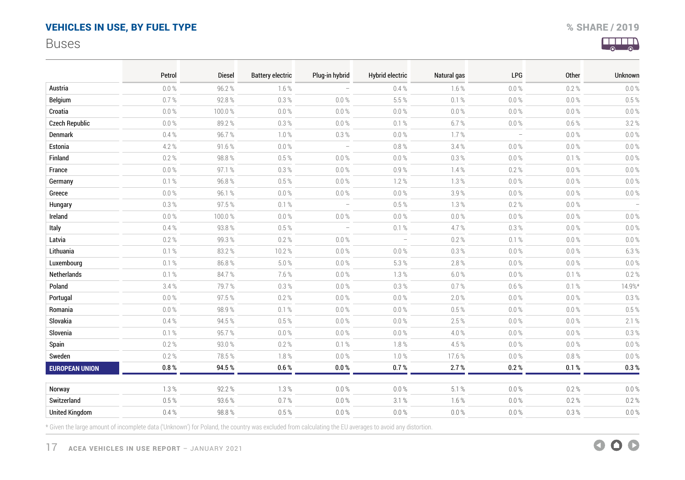## <span id="page-16-0"></span>Buses



|                       | Petrol    | <b>Diesel</b> | <b>Battery electric</b> | Plug-in hybrid                  | <b>Hybrid electric</b>          | Natural gas | <b>LPG</b>               | Other     | Unknown  |
|-----------------------|-----------|---------------|-------------------------|---------------------------------|---------------------------------|-------------|--------------------------|-----------|----------|
| Austria               | $0.0\%$   | 96.2%         | $1.6\%$                 |                                 | 0.4%                            | 1.6%        | $0.0 \%$                 | 0.2%      | 0.0%     |
| Belgium               | 0.7%      | 92.8%         | 0.3%                    | $0.0\ \%$                       | 5.5 %                           | 0.1%        | $0.0\%$                  | $0.0 \%$  | $0.5 \%$ |
| Croatia               | $0.0\ \%$ | 100.0%        | $0.0 \%$                | $0.0\ \%$                       | $0.0\,\%$                       | $0.0\,\%$   | $0.0\%$                  | $0.0\%$   | $0.0\%$  |
| <b>Czech Republic</b> | $0.0 \%$  | 89.2%         | 0.3%                    | $0.0\%$                         | 0.1 %                           | 6.7%        | $0.0 \%$                 | $0.6\%$   | 3.2%     |
| Denmark               | 0.4%      | 96.7%         | $7.0\,\%$               | $0.3\%$                         | $0.0\,\%$                       | 1.7%        | $\overline{\phantom{a}}$ | $0.0\ \%$ | $0.0\%$  |
| Estonia               | 4.2%      | 91.6%         | $0.0\ \%$               | $\overline{\phantom{a}}$        | $0.8\ \%$                       | 3.4%        | $0.0 \%$                 | $0.0\ \%$ | $0.0\%$  |
| Finland               | $0.2 \%$  | 98.8%         | 0.5%                    | $0.0\ \%$                       | $0.0\ \%$                       | $0.3 \%$    | $0.0\%$                  | 0.1%      | $0.0\%$  |
| France                | $0.0\ \%$ | 97.1%         | 0.3%                    | $0.0 \%$                        | 0.9%                            | 7.4%        | $0.2 \%$                 | $0.0 \%$  | $0.0\%$  |
| Germany               | 0.1%      | 96.8%         | 0.5%                    | 0.0%                            | 1.2%                            | 1.3%        | $0.0 \%$                 | 0.0%      | $0.0\%$  |
| Greece                | $0.0 \%$  | 96.1%         | $0.0\ \%$               | $0.0\%$                         | $0.0\ \%$                       | 3.9%        | $0.0 \%$                 | $0.0\,\%$ | $0.0\%$  |
| Hungary               | $0.3\ \%$ | 97.5%         | $0.1 \%$                | $\overline{\phantom{a}}$        | $0.5\,\%$                       | $1.3\%$     | $0.2\ \%$                | $0.0\ \%$ |          |
| Ireland               | $0.0 \%$  | 100.0%        | $0.0 \%$                | $0.0 \%$                        | $0.0 \%$                        | $0.0 \%$    | $0.0 \%$                 | $0.0 \%$  | $0.0\%$  |
| Italy                 | 0.4%      | 93.8%         | 0.5%                    | $\hspace{0.1mm}-\hspace{0.1mm}$ | $0.1 \%$                        | 4.7%        | 0.3 %                    | $0.0\ \%$ | $0.0\%$  |
| Latvia                | 0.2%      | 99.3%         | 0.2%                    | 0.0%                            | $\hspace{0.1mm}-\hspace{0.1mm}$ | 0.2%        | 0.1%                     | $0.0 \%$  | $0.0\%$  |
| Lithuania             | 0.1%      | 83.2%         | 10.2%                   | $0.0 \%$                        | $0.0 \%$                        | 0.3%        | $0.0 \%$                 | $0.0 \%$  | 6.3%     |
| Luxembourg            | 0.1 %     | 86.8%         | $5.0\ \%$               | $0.0\ \%$                       | 5.3 %                           | $2.8\ \%$   | $0.0\%$                  | $0.0\ \%$ | $0.0\%$  |
| Netherlands           | 0.1%      | 84.7%         | 7.6%                    | $0.0\%$                         | 1.3%                            | 6.0%        | $0.0 \%$                 | 0.1%      | $0.2 \%$ |
| Poland                | 3.4%      | 79.7%         | $0.3\%$                 | $0.0\ \%$                       | $0.3 \%$                        | $0.7 \%$    | $0.6 \%$                 | 0.1 %     | 14.9%*   |
| Portugal              | $0.0 \%$  | 97.5%         | $0.2 \%$                | $0.0 \%$                        | $0.0 \%$                        | 2.0%        | 0.0%                     | $0.0\ \%$ | 0.3%     |
| Romania               | $0.0 \%$  | 98.9%         | $0.1 \%$                | $0.0\%$                         | $0.0\,\%$                       | $0.5\ \%$   | $0.0\%$                  | $0.0\ \%$ | $0.5 \%$ |
| Slovakia              | $0.4 \%$  | 94.5%         | 0.5%                    | $0.0\ \%$                       | $0.0 \%$                        | 2.5%        | $0.0\%$                  | $0.0\ \%$ | 2.1%     |
| Slovenia              | 0.1%      | 95.7%         | $0.0\%$                 | $0.0 \%$                        | $0.0\ \%$                       | 4.0%        | $0.0 \%$                 | $0.0 \%$  | 0.3%     |
| Spain                 | 0.2%      | 93.0%         | 0.2%                    | 0.1%                            | 1.8%                            | 4.5%        | $0.0\%$                  | $0.0 \%$  | $0.0\%$  |
| Sweden                | $0.2 \%$  | 78.5%         | 7.8%                    | $0.0 \%$                        | 1.0%                            | 17.6%       | $0.0\%$                  | $0.8\ \%$ | $0.0\%$  |
| <b>EUROPEAN UNION</b> | $0.8~\%$  | 94.5%         | 0.6%                    | $0.0\,\%$                       | 0.7 %                           | 2.7%        | 0.2 %                    | 0.1%      | 0.3 %    |
| Norway                | 1.3%      | 92.2%         | 1.3%                    | 0.0 %                           | 0.0 %                           | 5.1%        | 0.0%                     | 0.2%      | $0.0 \%$ |
| Switzerland           | 0.5%      | 93.6%         | 0.7%                    | $0.0 \%$                        | 3.1%                            | 1.6%        | $0.0\ \%$                | $0.2 \%$  | $0.2 \%$ |
| <b>United Kingdom</b> | 0.4%      | 98.8%         | $0.5\,\%$               | $0.0\ \%$                       | $0.0\%$                         | $0.0\ \%$   | $0.0\ \%$                | $0.3\ \%$ | $0.0 \%$ |

\* Given the large amount of incomplete data ('Unknown') for Poland, the country was excluded from calculating the EU averages to avoid any distortion.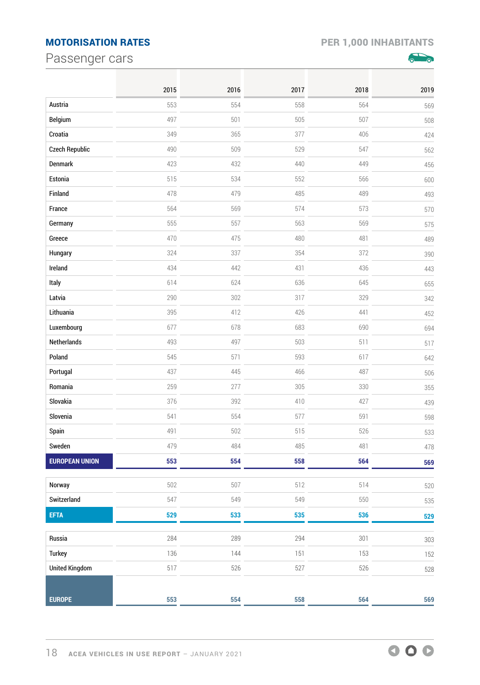## <span id="page-17-0"></span>MOTORISATION RATES PER 1,000 INHABITANTS

Passenger cars



|                       | 2015 | 2016 | 2017 | 2018 | 2019 |
|-----------------------|------|------|------|------|------|
| Austria               | 553  | 554  | 558  | 564  | 569  |
| Belgium               | 497  | 501  | 505  | 507  | 508  |
| Croatia               | 349  | 365  | 377  | 406  | 424  |
| <b>Czech Republic</b> | 490  | 509  | 529  | 547  | 562  |
| Denmark               | 423  | 432  | 440  | 449  | 456  |
| Estonia               | 515  | 534  | 552  | 566  | 600  |
| Finland               | 478  | 479  | 485  | 489  | 493  |
| France                | 564  | 569  | 574  | 573  | 570  |
| Germany               | 555  | 557  | 563  | 569  | 575  |
| Greece                | 470  | 475  | 480  | 481  | 489  |
| Hungary               | 324  | 337  | 354  | 372  | 390  |
| Ireland               | 434  | 442  | 431  | 436  | 443  |
| Italy                 | 614  | 624  | 636  | 645  | 655  |
| Latvia                | 290  | 302  | 317  | 329  | 342  |
| Lithuania             | 395  | 412  | 426  | 441  | 452  |
| Luxembourg            | 677  | 678  | 683  | 690  | 694  |
| Netherlands           | 493  | 497  | 503  | 511  | 517  |
| Poland                | 545  | 571  | 593  | 617  | 642  |
| Portugal              | 437  | 445  | 466  | 487  | 506  |
| Romania               | 259  | 277  | 305  | 330  | 355  |
| Slovakia              | 376  | 392  | 410  | 427  | 439  |
| Slovenia              | 541  | 554  | 577  | 591  | 598  |
| Spain                 | 491  | 502  | 515  | 526  | 533  |
| Sweden                | 479  | 484  | 485  | 481  | 478  |
| <b>EUROPEAN UNION</b> | 553  | 554  | 558  | 564  | 569  |
| Norway                | 502  | 507  | 512  | 514  | 520  |
| Switzerland           | 547  | 549  | 549  | 550  | 535  |
| <b>EFTA</b>           | 529  | 533  | 535  | 536  | 529  |
| Russia                | 284  | 289  | 294  | 301  | 303  |
| <b>Turkey</b>         | 136  | 144  | 151  | 153  | 152  |
| <b>United Kingdom</b> | 517  | 526  | 527  | 526  | 528  |
|                       |      |      |      |      |      |
| <b>EUROPE</b>         | 553  | 554  | 558  | 564  | 569  |

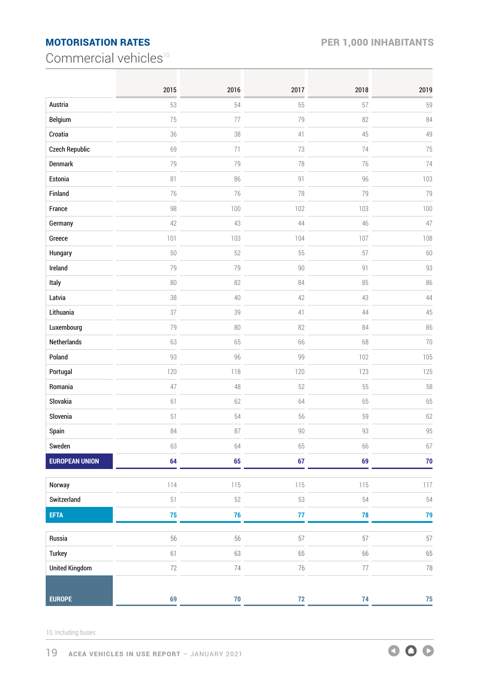## <span id="page-18-0"></span>MOTORISATION RATES PER 1,000 INHABITANTS

Commercial vehicles<sup>10</sup>

|                       | 2015   | 2016   | 2017 | 2018 | 2019       |
|-----------------------|--------|--------|------|------|------------|
| Austria               | 53     | 54     | 55   | 57   | 59         |
| Belgium               | 75     | 77     | 79   | 82   | 84         |
| Croatia               | 36     | 38     | 41   | 45   | 49         |
| <b>Czech Republic</b> | 69     | 71     | 73   | 74   | 75         |
| Denmark               | 79     | 79     | 78   | 76   | 74         |
| Estonia               | 81     | 86     | 91   | 96   | 103        |
| Finland               | 76     | 76     | 78   | 79   | 79         |
| France                | 98     | 100    | 102  | 103  | 100        |
| Germany               | 42     | 43     | 44   | 46   | 47         |
| Greece                | 101    | 103    | 104  | 107  | 108        |
| Hungary               | 50     | 52     | 55   | 57   | 60         |
| Ireland               | 79     | 79     | 90   | 91   | 93         |
| Italy                 | 80     | 82     | 84   | 85   | 86         |
| Latvia                | 38     | 40     | 42   | 43   | 44         |
| Lithuania             | 37     | 39     | 41   | 44   | 45         |
| Luxembourg            | 79     | 80     | 82   | 84   | 86         |
| <b>Netherlands</b>    | 63     | 65     | 66   | 68   | 70         |
| Poland                | 93     | 96     | 99   | 102  | 105        |
| Portugal              | 120    | 118    | 120  | 123  | 125        |
| Romania               | 47     | 48     | 52   | 55   | 58         |
| Slovakia              | 61     | 62     | 64   | 65   | 65         |
| Slovenia              | 51     | 54     | 56   | 59   | 62         |
| Spain                 | 84     | 87     | 90   | 93   | 95         |
| Sweden                | 63     | 64     | 65   | 66   | 67         |
| <b>EUROPEAN UNION</b> | 64     | 65     | 67   | 69   | $70\,$     |
| Norway                | 114    | 115    | 115  | 115  | 117        |
| Switzerland           | 51     | 52     | 53   | 54   | 54         |
| <b>EFTA</b>           | 75     | 76     | 77   | 78   | 79         |
| Russia                | 56     | 56     | 57   | 57   | 57         |
| <b>Turkey</b>         | 61     | 63     | 65   | 66   | 65         |
| <b>United Kingdom</b> | $72\,$ | 74     | 76   | 77   | 78         |
|                       |        |        |      |      |            |
| <b>EUROPE</b>         | 69     | $70\,$ | $72$ | 74   | ${\bf 75}$ |

10. Including buses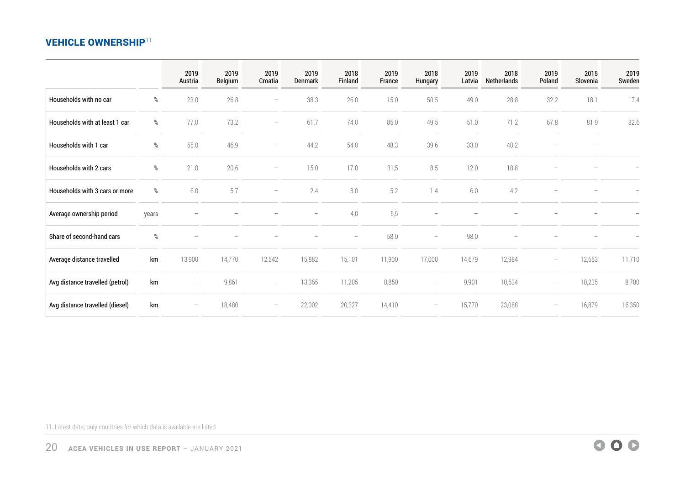#### <span id="page-19-0"></span>**VEHICLE OWNERSHIP11**

|                                 |       | 2019<br>Austria          | 2019<br><b>Belgium</b> | 2019<br>Croatia          | 2019<br>Denmark | 2018<br>Finland          | 2019<br>France | 2018<br>Hungary          | 2019<br>Latvia | 2018<br>Netherlands | 2019<br>Poland           | 2015<br>Slovenia | 2019<br>Sweden |
|---------------------------------|-------|--------------------------|------------------------|--------------------------|-----------------|--------------------------|----------------|--------------------------|----------------|---------------------|--------------------------|------------------|----------------|
| Households with no car          | %     | 23.0                     | 26.8                   | $\overline{\phantom{0}}$ | 38.3            | 26.0                     | 15.0           | 50.5                     | 49.0           | 28.8                | 32.2                     | 18.1             | 17.4           |
| Households with at least 1 car  | %     | 77.0                     | 73.2                   | $\overline{\phantom{a}}$ | 61.7            | 74.0                     | 85.0           | 49.5                     | 51.0           | 71.2                | 67.8                     | 81.9             | 82.6           |
| Households with 1 car           | %     | 55.0                     | 46.9                   | $\overline{\phantom{0}}$ | 44.2            | 54.0                     | 48.3           | 39.6                     | 33.0           | 48.2                |                          |                  |                |
| Households with 2 cars          | %     | 21.0                     | 20.6                   | $\overline{\phantom{a}}$ | 15.0            | 17.0                     | 31,5           | 8.5                      | 12.0           | 18.8                |                          |                  |                |
| Households with 3 cars or more  | %     | 6.0                      | 5.7                    | $\overline{\phantom{m}}$ | 2.4             | 3.0                      | 5.2            | 1.4                      | 6.0            | 4.2                 |                          |                  |                |
| Average ownership period        | years |                          |                        |                          | —               | 4,0                      | 5,5            |                          |                |                     |                          |                  |                |
| Share of second-hand cars       | $\%$  |                          |                        |                          |                 | $\overline{\phantom{0}}$ | 58.0           | $\overline{\phantom{m}}$ | 98.0           |                     |                          |                  |                |
| Average distance travelled      | km    | 13,900                   | 14,770                 | 12,542                   | 15,882          | 15,101                   | 11,900         | 17,000                   | 14,679         | 12,984              | $\overline{\phantom{m}}$ | 12,653           | 11,710         |
| Avg distance travelled (petrol) | km    | $\overline{\phantom{m}}$ | 9,861                  | $\overline{\phantom{a}}$ | 13,365          | 11,205                   | 8,850          | $\qquad \qquad -$        | 9,901          | 10,634              | $\overline{\phantom{m}}$ | 10,235           | 8,780          |
| Avg distance travelled (diesel) | km    | $\overline{\phantom{a}}$ | 18,480                 | $\overline{\phantom{m}}$ | 22,002          | 20,327                   | 14,410         |                          | 15,770         | 23,088              | $\overline{\phantom{m}}$ | 16,879           | 16,350         |

11. Latest data; only countries for which data is available are listed